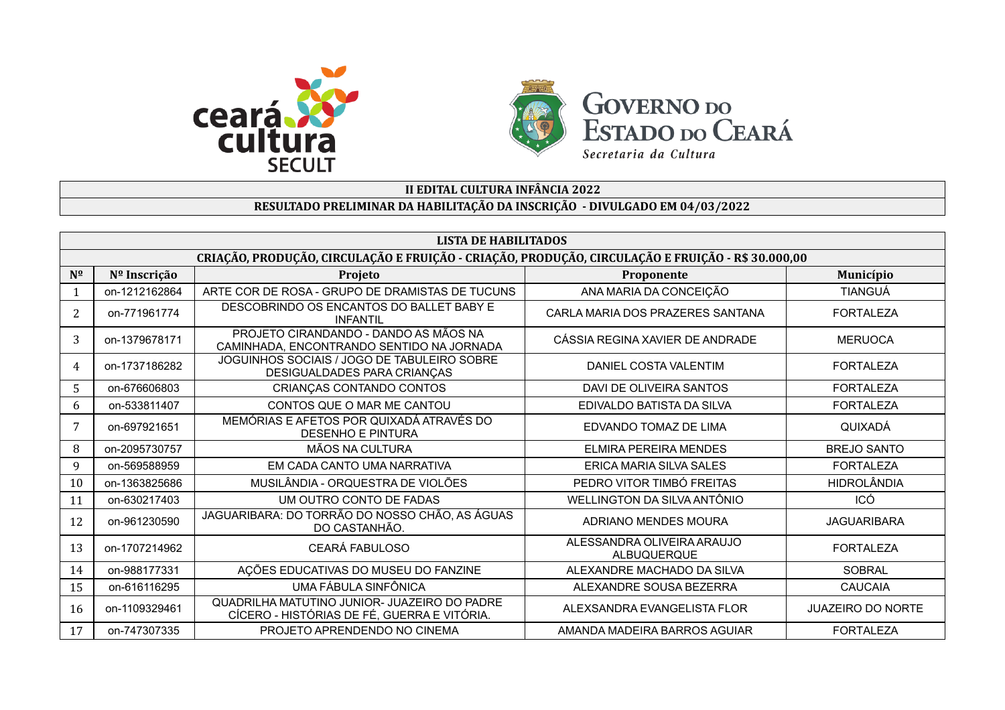



## **II EDITAL CULTURA INFÂNCIA 2022**

## **RESULTADO PRELIMINAR DA HABILITAÇÃO DA INSCRIÇÃO - DIVULGADO EM 04/03/2022**

|                | <b>LISTA DE HABILITADOS</b>                                                                       |                                                                                             |                                           |                          |  |
|----------------|---------------------------------------------------------------------------------------------------|---------------------------------------------------------------------------------------------|-------------------------------------------|--------------------------|--|
|                | CRIAÇÃO, PRODUÇÃO, CIRCULAÇÃO E FRUIÇÃO - CRIAÇÃO, PRODUÇÃO, CIRCULAÇÃO E FRUIÇÃO - R\$ 30.000,00 |                                                                                             |                                           |                          |  |
| $N^{\Omega}$   | Nº Inscrição                                                                                      | Projeto                                                                                     | Proponente                                | Município                |  |
|                | on-1212162864                                                                                     | ARTE COR DE ROSA - GRUPO DE DRAMISTAS DE TUCUNS                                             | ANA MARIA DA CONCEIÇÃO                    | <b>TIANGUÁ</b>           |  |
| $\overline{2}$ | on-771961774                                                                                      | DESCOBRINDO OS ENCANTOS DO BALLET BABY E<br><b>INFANTIL</b>                                 | CARLA MARIA DOS PRAZERES SANTANA          | <b>FORTALEZA</b>         |  |
| 3              | on-1379678171                                                                                     | PROJETO CIRANDANDO - DANDO AS MÃOS NA<br>CAMINHADA, ENCONTRANDO SENTIDO NA JORNADA          | CÁSSIA REGINA XAVIER DE ANDRADE           | <b>MERUOCA</b>           |  |
| $\overline{4}$ | on-1737186282                                                                                     | JOGUINHOS SOCIAIS / JOGO DE TABULEIRO SOBRE<br>DESIGUALDADES PARA CRIANÇAS                  | DANIEL COSTA VALENTIM                     | <b>FORTALEZA</b>         |  |
| 5              | on-676606803                                                                                      | CRIANÇAS CONTANDO CONTOS                                                                    | DAVI DE OLIVEIRA SANTOS                   | <b>FORTALEZA</b>         |  |
| 6              | on-533811407                                                                                      | CONTOS QUE O MAR ME CANTOU                                                                  | EDIVALDO BATISTA DA SILVA                 | <b>FORTALEZA</b>         |  |
| 7              | on-697921651                                                                                      | MEMÓRIAS E AFETOS POR QUIXADÁ ATRAVÉS DO<br><b>DESENHO E PINTURA</b>                        | EDVANDO TOMAZ DE LIMA                     | QUIXADÁ                  |  |
| 8              | on-2095730757                                                                                     | MÃOS NA CULTURA                                                                             | <b>ELMIRA PEREIRA MENDES</b>              | <b>BREJO SANTO</b>       |  |
| 9              | on-569588959                                                                                      | EM CADA CANTO UMA NARRATIVA                                                                 | ERICA MARIA SILVA SALES                   | <b>FORTALEZA</b>         |  |
| 10             | on-1363825686                                                                                     | MUSILÂNDIA - ORQUESTRA DE VIOLÕES                                                           | PEDRO VITOR TIMBÓ FREITAS                 | <b>HIDROLÂNDIA</b>       |  |
| 11             | on-630217403                                                                                      | UM OUTRO CONTO DE FADAS                                                                     | WELLINGTON DA SILVA ANTÔNIO               | ICÓ                      |  |
| 12             | on-961230590                                                                                      | JAGUARIBARA: DO TORRÃO DO NOSSO CHÃO, AS ÁGUAS<br>DO CASTANHÃO.                             | ADRIANO MENDES MOURA                      | <b>JAGUARIBARA</b>       |  |
| 13             | on-1707214962                                                                                     | CEARÁ FABULOSO                                                                              | ALESSANDRA OLIVEIRA ARAUJO<br>ALBUQUERQUE | <b>FORTALEZA</b>         |  |
| 14             | on-988177331                                                                                      | AÇÕES EDUCATIVAS DO MUSEU DO FANZINE                                                        | ALEXANDRE MACHADO DA SILVA                | <b>SOBRAL</b>            |  |
| 15             | on-616116295                                                                                      | UMA FÁBULA SINFÔNICA                                                                        | ALEXANDRE SOUSA BEZERRA                   | <b>CAUCAIA</b>           |  |
| 16             | on-1109329461                                                                                     | QUADRILHA MATUTINO JUNIOR- JUAZEIRO DO PADRE<br>CÍCERO - HISTÓRIAS DE FÉ, GUERRA E VITÓRIA. | ALEXSANDRA EVANGELISTA FLOR               | <b>JUAZEIRO DO NORTE</b> |  |
| 17             | on-747307335                                                                                      | PROJETO APRENDENDO NO CINEMA                                                                | AMANDA MADEIRA BARROS AGUIAR              | <b>FORTALEZA</b>         |  |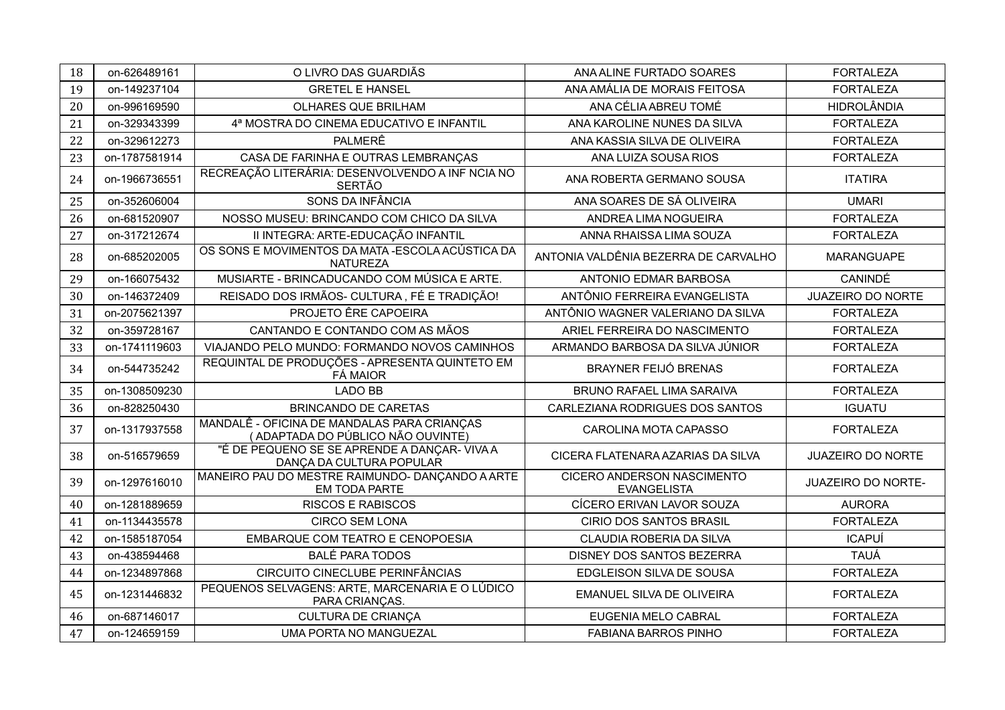| 18 | on-626489161  | O LIVRO DAS GUARDIÃS                                                             | ANA ALINE FURTADO SOARES                                | <b>FORTALEZA</b>         |
|----|---------------|----------------------------------------------------------------------------------|---------------------------------------------------------|--------------------------|
| 19 | on-149237104  | <b>GRETEL E HANSEL</b>                                                           | ANA AMÁLIA DE MORAIS FEITOSA                            | <b>FORTALEZA</b>         |
| 20 | on-996169590  | OLHARES QUE BRILHAM                                                              | ANA CÉLIA ABREU TOMÉ                                    | <b>HIDROLÂNDIA</b>       |
| 21 | on-329343399  | 4ª MOSTRA DO CINEMA EDUCATIVO E INFANTIL                                         | ANA KAROLINE NUNES DA SILVA                             | <b>FORTALEZA</b>         |
| 22 | on-329612273  | PALMERÊ                                                                          | ANA KASSIA SILVA DE OLIVEIRA                            | <b>FORTALEZA</b>         |
| 23 | on-1787581914 | CASA DE FARINHA E OUTRAS LEMBRANÇAS                                              | ANA LUIZA SOUSA RIOS                                    | <b>FORTALEZA</b>         |
| 24 | on-1966736551 | RECREAÇÃO LITERÁRIA: DESENVOLVENDO A INF NCIA NO<br><b>SERTÃO</b>                | ANA ROBERTA GERMANO SOUSA                               | <b>ITATIRA</b>           |
| 25 | on-352606004  | SONS DA INFÂNCIA                                                                 | ANA SOARES DE SÁ OLIVEIRA                               | <b>UMARI</b>             |
| 26 | on-681520907  | NOSSO MUSEU: BRINCANDO COM CHICO DA SILVA                                        | ANDREA LIMA NOGUEIRA                                    | <b>FORTALEZA</b>         |
| 27 | on-317212674  | II INTEGRA: ARTE-EDUCAÇÃO INFANTIL                                               | ANNA RHAISSA LIMA SOUZA                                 | <b>FORTALEZA</b>         |
| 28 | on-685202005  | OS SONS E MOVIMENTOS DA MATA - ESCOLA ACÚSTICA DA<br><b>NATUREZA</b>             | ANTONIA VALDÊNIA BEZERRA DE CARVALHO                    | MARANGUAPE               |
| 29 | on-166075432  | MUSIARTE - BRINCADUCANDO COM MÚSICA E ARTE.                                      | ANTONIO EDMAR BARBOSA                                   | CANINDÉ                  |
| 30 | on-146372409  | REISADO DOS IRMÃOS- CULTURA, FÉ E TRADIÇÃO!                                      | ANTÔNIO FERREIRA EVANGELISTA                            | <b>JUAZEIRO DO NORTE</b> |
| 31 | on-2075621397 | PROJETO ÊRE CAPOEIRA                                                             | ANTÔNIO WAGNER VALERIANO DA SILVA                       | <b>FORTALEZA</b>         |
| 32 | on-359728167  | CANTANDO E CONTANDO COM AS MÃOS                                                  | ARIEL FERREIRA DO NASCIMENTO                            | <b>FORTALEZA</b>         |
| 33 | on-1741119603 | VIAJANDO PELO MUNDO: FORMANDO NOVOS CAMINHOS                                     | ARMANDO BARBOSA DA SILVA JÚNIOR                         | <b>FORTALEZA</b>         |
| 34 | on-544735242  | REQUINTAL DE PRODUÇÕES - APRESENTA QUINTETO EM<br><b>FÁ MAIOR</b>                | <b>BRAYNER FEIJÓ BRENAS</b>                             | <b>FORTALEZA</b>         |
| 35 | on-1308509230 | <b>LADO BB</b>                                                                   | <b>BRUNO RAFAEL LIMA SARAIVA</b>                        | <b>FORTALEZA</b>         |
| 36 | on-828250430  | <b>BRINCANDO DE CARETAS</b>                                                      | CARLEZIANA RODRIGUES DOS SANTOS                         | <b>IGUATU</b>            |
| 37 | on-1317937558 | MANDALÊ - OFICINA DE MANDALAS PARA CRIANÇAS<br>(ADAPTADA DO PÚBLICO NÃO OUVINTE) | CAROLINA MOTA CAPASSO                                   | <b>FORTALEZA</b>         |
| 38 | on-516579659  | "É DE PEQUENO SE SE APRENDE A DANÇAR-VIVA A<br>DANÇA DA CULTURA POPULAR          | CICERA FLATENARA AZARIAS DA SILVA                       | <b>JUAZEIRO DO NORTE</b> |
| 39 | on-1297616010 | MANEIRO PAU DO MESTRE RAIMUNDO- DANÇANDO A ARTE<br>EM TODA PARTE                 | <b>CICERO ANDERSON NASCIMENTO</b><br><b>EVANGELISTA</b> | JUAZEIRO DO NORTE-       |
| 40 | on-1281889659 | <b>RISCOS E RABISCOS</b>                                                         | CÍCERO ERIVAN LAVOR SOUZA                               | <b>AURORA</b>            |
| 41 | on-1134435578 | <b>CIRCO SEM LONA</b>                                                            | <b>CIRIO DOS SANTOS BRASIL</b>                          | <b>FORTALEZA</b>         |
| 42 | on-1585187054 | EMBARQUE COM TEATRO E CENOPOESIA                                                 | CLAUDIA ROBERIA DA SILVA                                | <b>ICAPUÍ</b>            |
| 43 | on-438594468  | <b>BALÉ PARA TODOS</b>                                                           | DISNEY DOS SANTOS BEZERRA                               | <b>TAUÁ</b>              |
| 44 | on-1234897868 | CIRCUITO CINECLUBE PERINFÂNCIAS                                                  | EDGLEISON SILVA DE SOUSA                                | <b>FORTALEZA</b>         |
| 45 | on-1231446832 | PEQUENOS SELVAGENS: ARTE, MARCENARIA E O LÚDICO<br>PARA CRIANÇAS.                | EMANUEL SILVA DE OLIVEIRA                               | <b>FORTALEZA</b>         |
| 46 | on-687146017  | <b>CULTURA DE CRIANÇA</b>                                                        | EUGENIA MELO CABRAL                                     | <b>FORTALEZA</b>         |
| 47 | on-124659159  | UMA PORTA NO MANGUEZAL                                                           | <b>FABIANA BARROS PINHO</b>                             | <b>FORTALEZA</b>         |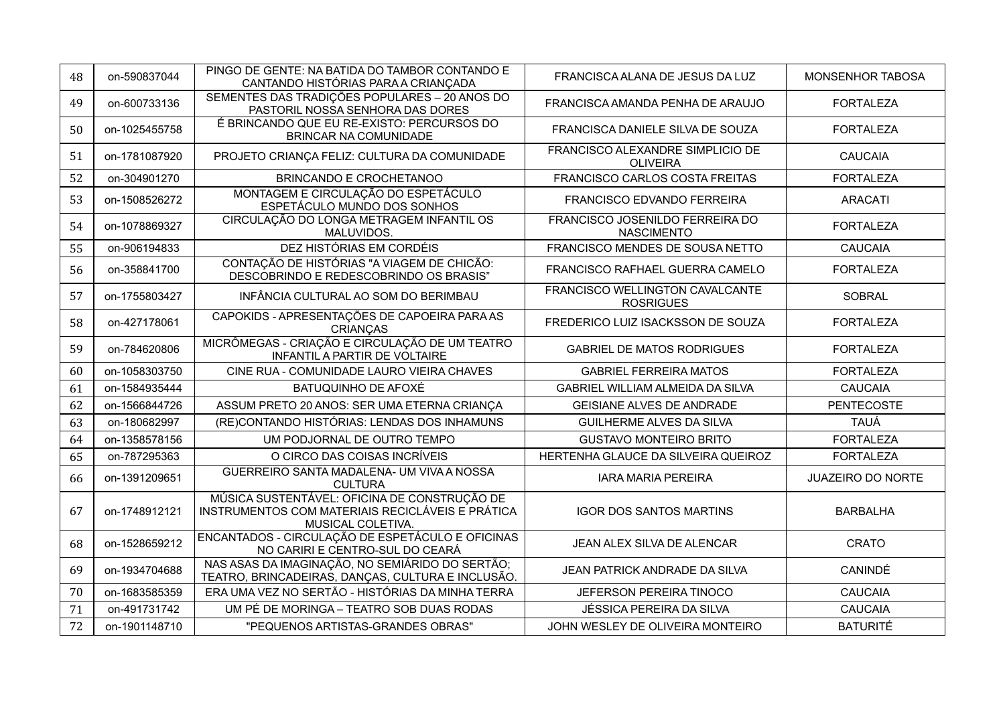| 48 | on-590837044  | PINGO DE GENTE: NA BATIDA DO TAMBOR CONTANDO E<br>CANTANDO HISTÓRIAS PARA A CRIANÇADA                                 | FRANCISCA ALANA DE JESUS DA LUZ                      | MONSENHOR TABOSA         |
|----|---------------|-----------------------------------------------------------------------------------------------------------------------|------------------------------------------------------|--------------------------|
| 49 | on-600733136  | SEMENTES DAS TRADIÇÕES POPULARES - 20 ANOS DO<br>PASTORIL NOSSA SENHORA DAS DORES                                     | FRANCISCA AMANDA PENHA DE ARAUJO                     | <b>FORTALEZA</b>         |
| 50 | on-1025455758 | É BRINCANDO QUE EU RE-EXISTO: PERCURSOS DO<br><b>BRINCAR NA COMUNIDADE</b>                                            | FRANCISCA DANIELE SILVA DE SOUZA                     | <b>FORTALEZA</b>         |
| 51 | on-1781087920 | PROJETO CRIANÇA FELIZ: CULTURA DA COMUNIDADE                                                                          | FRANCISCO ALEXANDRE SIMPLICIO DE<br><b>OLIVEIRA</b>  | <b>CAUCAIA</b>           |
| 52 | on-304901270  | <b>BRINCANDO E CROCHETANOO</b>                                                                                        | FRANCISCO CARLOS COSTA FREITAS                       | <b>FORTALEZA</b>         |
| 53 | on-1508526272 | MONTAGEM E CIRCULAÇÃO DO ESPETÁCULO<br>ESPETÁCULO MUNDO DOS SONHOS                                                    | FRANCISCO EDVANDO FERREIRA                           | <b>ARACATI</b>           |
| 54 | on-1078869327 | CIRCULAÇÃO DO LONGA METRAGEM INFANTIL OS<br>MALUVIDOS.                                                                | FRANCISCO JOSENILDO FERREIRA DO<br><b>NASCIMENTO</b> | <b>FORTALEZA</b>         |
| 55 | on-906194833  | DEZ HISTÓRIAS EM CORDÉIS                                                                                              | FRANCISCO MENDES DE SOUSA NETTO                      | <b>CAUCAIA</b>           |
| 56 | on-358841700  | CONTAÇÃO DE HISTÓRIAS "A VIAGEM DE CHICÃO:<br>DESCOBRINDO E REDESCOBRINDO OS BRASIS"                                  | FRANCISCO RAFHAEL GUERRA CAMELO                      | <b>FORTALEZA</b>         |
| 57 | on-1755803427 | INFÂNCIA CULTURAL AO SOM DO BERIMBAU                                                                                  | FRANCISCO WELLINGTON CAVALCANTE<br><b>ROSRIGUES</b>  | <b>SOBRAL</b>            |
| 58 | on-427178061  | CAPOKIDS - APRESENTAÇÕES DE CAPOEIRA PARA AS<br><b>CRIANCAS</b>                                                       | FREDERICO LUIZ ISACKSSON DE SOUZA                    | <b>FORTALEZA</b>         |
| 59 | on-784620806  | MICRÔMEGAS - CRIAÇÃO E CIRCULAÇÃO DE UM TEATRO<br>INFANTIL A PARTIR DE VOLTAIRE                                       | <b>GABRIEL DE MATOS RODRIGUES</b>                    | <b>FORTALEZA</b>         |
| 60 | on-1058303750 | CINE RUA - COMUNIDADE LAURO VIEIRA CHAVES                                                                             | <b>GABRIEL FERREIRA MATOS</b>                        | <b>FORTALEZA</b>         |
| 61 | on-1584935444 | BATUQUINHO DE AFOXÉ                                                                                                   | GABRIEL WILLIAM ALMEIDA DA SILVA                     | <b>CAUCAIA</b>           |
| 62 | on-1566844726 | ASSUM PRETO 20 ANOS: SER UMA ETERNA CRIANÇA                                                                           | <b>GEISIANE ALVES DE ANDRADE</b>                     | <b>PENTECOSTE</b>        |
| 63 | on-180682997  | (RE)CONTANDO HISTÓRIAS: LENDAS DOS INHAMUNS                                                                           | <b>GUILHERME ALVES DA SILVA</b>                      | <b>TAUÁ</b>              |
| 64 | on-1358578156 | UM PODJORNAL DE OUTRO TEMPO                                                                                           | <b>GUSTAVO MONTEIRO BRITO</b>                        | <b>FORTALEZA</b>         |
| 65 | on-787295363  | O CIRCO DAS COISAS INCRÍVEIS                                                                                          | HERTENHA GLAUCE DA SILVEIRA QUEIROZ                  | <b>FORTALEZA</b>         |
| 66 | on-1391209651 | GUERREIRO SANTA MADALENA- UM VIVA A NOSSA<br><b>CULTURA</b>                                                           | <b>IARA MARIA PEREIRA</b>                            | <b>JUAZEIRO DO NORTE</b> |
| 67 | on-1748912121 | MÚSICA SUSTENTÁVEL: OFICINA DE CONSTRUÇÃO DE<br>INSTRUMENTOS COM MATERIAIS RECICLÁVEIS E PRÁTICA<br>MUSICAL COLETIVA. | <b>IGOR DOS SANTOS MARTINS</b>                       | <b>BARBALHA</b>          |
| 68 | on-1528659212 | ENCANTADOS - CIRCULAÇÃO DE ESPETÁCULO E OFICINAS<br>NO CARIRI E CENTRO-SUL DO CEARÁ                                   | JEAN ALEX SILVA DE ALENCAR                           | <b>CRATO</b>             |
| 69 | on-1934704688 | NAS ASAS DA IMAGINAÇÃO, NO SEMIÁRIDO DO SERTÃO;<br>TEATRO, BRINCADEIRAS, DANÇAS, CULTURA E INCLUSÃO.                  | JEAN PATRICK ANDRADE DA SILVA                        | CANINDÉ                  |
| 70 | on-1683585359 | ERA UMA VEZ NO SERTÃO - HISTÓRIAS DA MINHA TERRA                                                                      | JEFERSON PEREIRA TINOCO                              | <b>CAUCAIA</b>           |
| 71 | on-491731742  | UM PÉ DE MORINGA - TEATRO SOB DUAS RODAS                                                                              | JÉSSICA PEREIRA DA SILVA                             | <b>CAUCAIA</b>           |
| 72 | on-1901148710 | "PEQUENOS ARTISTAS-GRANDES OBRAS"                                                                                     | JOHN WESLEY DE OLIVEIRA MONTEIRO                     | <b>BATURITÉ</b>          |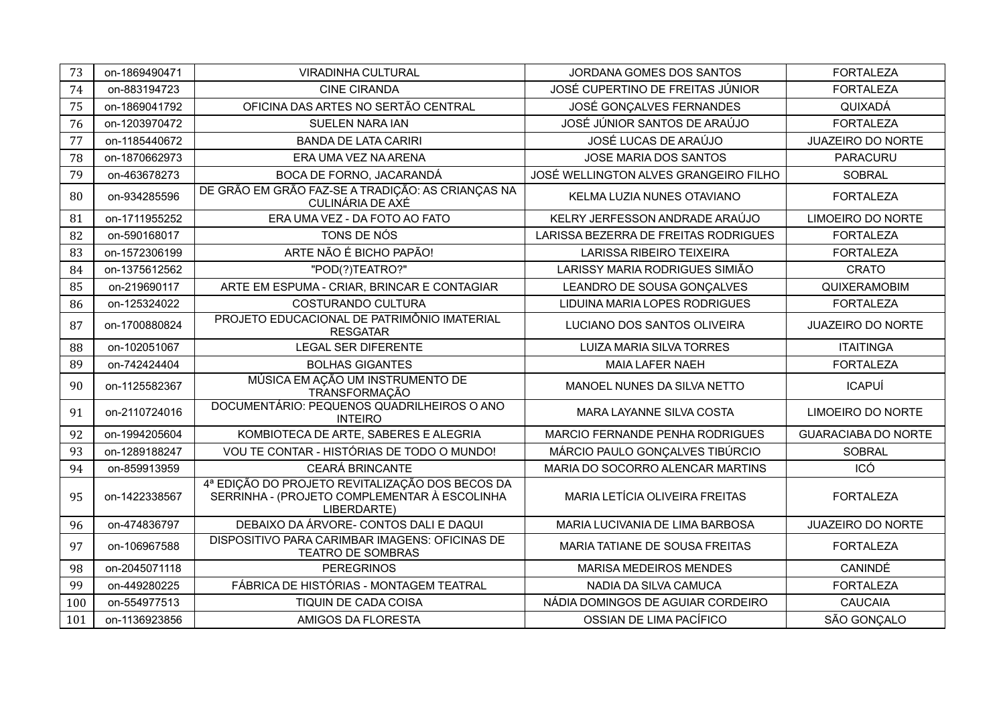| 73  | on-1869490471 | <b>VIRADINHA CULTURAL</b>                                                                                      | JORDANA GOMES DOS SANTOS              | <b>FORTALEZA</b>           |
|-----|---------------|----------------------------------------------------------------------------------------------------------------|---------------------------------------|----------------------------|
| 74  | on-883194723  | <b>CINE CIRANDA</b>                                                                                            | JOSÉ CUPERTINO DE FREITAS JÚNIOR      | <b>FORTALEZA</b>           |
| 75  | on-1869041792 | OFICINA DAS ARTES NO SERTÃO CENTRAL                                                                            | JOSÉ GONÇALVES FERNANDES              | QUIXADÁ                    |
| 76  | on-1203970472 | SUELEN NARA IAN                                                                                                | JOSÉ JÚNIOR SANTOS DE ARAÚJO          | <b>FORTALEZA</b>           |
| 77  | on-1185440672 | <b>BANDA DE LATA CARIRI</b>                                                                                    | JOSÉ LUCAS DE ARAÚJO                  | <b>JUAZEIRO DO NORTE</b>   |
| 78  | on-1870662973 | ERA UMA VEZ NA ARENA                                                                                           | JOSE MARIA DOS SANTOS                 | PARACURU                   |
| 79  | on-463678273  | BOCA DE FORNO, JACARANDÁ                                                                                       | JOSÉ WELLINGTON ALVES GRANGEIRO FILHO | <b>SOBRAL</b>              |
| 80  | on-934285596  | DE GRÃO EM GRÃO FAZ-SE A TRADIÇÃO: AS CRIANÇAS NA<br>CULINÁRIA DE AXÉ                                          | KELMA LUZIA NUNES OTAVIANO            | <b>FORTALEZA</b>           |
| 81  | on-1711955252 | ERA UMA VEZ - DA FOTO AO FATO                                                                                  | KELRY JERFESSON ANDRADE ARAÚJO        | <b>LIMOEIRO DO NORTE</b>   |
| 82  | on-590168017  | TONS DE NÓS                                                                                                    | LARISSA BEZERRA DE FREITAS RODRIGUES  | <b>FORTALEZA</b>           |
| 83  | on-1572306199 | ARTE NÃO É BICHO PAPÃO!                                                                                        | <b>LARISSA RIBEIRO TEIXEIRA</b>       | <b>FORTALEZA</b>           |
| 84  | on-1375612562 | "POD(?)TEATRO?"                                                                                                | LARISSY MARIA RODRIGUES SIMIÃO        | <b>CRATO</b>               |
| 85  | on-219690117  | ARTE EM ESPUMA - CRIAR, BRINCAR E CONTAGIAR                                                                    | LEANDRO DE SOUSA GONÇALVES            | QUIXERAMOBIM               |
| 86  | on-125324022  | COSTURANDO CULTURA                                                                                             | LIDUINA MARIA LOPES RODRIGUES         | <b>FORTALEZA</b>           |
| 87  | on-1700880824 | PROJETO EDUCACIONAL DE PATRIMÔNIO IMATERIAL<br><b>RESGATAR</b>                                                 | LUCIANO DOS SANTOS OLIVEIRA           | <b>JUAZEIRO DO NORTE</b>   |
| 88  | on-102051067  | <b>LEGAL SER DIFERENTE</b>                                                                                     | <b>LUIZA MARIA SILVA TORRES</b>       | <b>ITAITINGA</b>           |
| 89  | on-742424404  | <b>BOLHAS GIGANTES</b>                                                                                         | MAIA LAFER NAEH                       | <b>FORTALEZA</b>           |
| 90  | on-1125582367 | MÚSICA EM AÇÃO UM INSTRUMENTO DE<br><b>TRANSFORMACÃO</b>                                                       | MANOEL NUNES DA SILVA NETTO           | <b>ICAPUÍ</b>              |
| 91  | on-2110724016 | DOCUMENTÁRIO: PEQUENOS QUADRILHEIROS O ANO<br><b>INTEIRO</b>                                                   | MARA LAYANNE SILVA COSTA              | <b>LIMOEIRO DO NORTE</b>   |
| 92  | on-1994205604 | KOMBIOTECA DE ARTE, SABERES E ALEGRIA                                                                          | MARCIO FERNANDE PENHA RODRIGUES       | <b>GUARACIABA DO NORTE</b> |
| 93  | on-1289188247 | VOU TE CONTAR - HISTÓRIAS DE TODO O MUNDO!                                                                     | MÁRCIO PAULO GONÇALVES TIBÚRCIO       | <b>SOBRAL</b>              |
| 94  | on-859913959  | <b>CEARÁ BRINCANTE</b>                                                                                         | MARIA DO SOCORRO ALENCAR MARTINS      | ICÓ                        |
| 95  | on-1422338567 | 4ª EDIÇÃO DO PROJETO REVITALIZAÇÃO DOS BECOS DA<br>SERRINHA - (PROJETO COMPLEMENTAR À ESCOLINHA<br>LIBERDARTE) | MARIA LETÍCIA OLIVEIRA FREITAS        | <b>FORTALEZA</b>           |
| 96  | on-474836797  | DEBAIXO DA ÁRVORE- CONTOS DALI E DAQUI                                                                         | MARIA LUCIVANIA DE LIMA BARBOSA       | <b>JUAZEIRO DO NORTE</b>   |
| 97  | on-106967588  | DISPOSITIVO PARA CARIMBAR IMAGENS: OFICINAS DE<br><b>TEATRO DE SOMBRAS</b>                                     | MARIA TATIANE DE SOUSA FREITAS        | <b>FORTALEZA</b>           |
| 98  | on-2045071118 | <b>PEREGRINOS</b>                                                                                              | <b>MARISA MEDEIROS MENDES</b>         | CANINDÉ                    |
| 99  | on-449280225  | FÁBRICA DE HISTÓRIAS - MONTAGEM TEATRAL                                                                        | NADIA DA SILVA CAMUCA                 | <b>FORTALEZA</b>           |
| 100 | on-554977513  | TIQUIN DE CADA COISA                                                                                           | NÁDIA DOMINGOS DE AGUIAR CORDEIRO     | <b>CAUCAIA</b>             |
| 101 | on-1136923856 | AMIGOS DA FLORESTA                                                                                             | OSSIAN DE LIMA PACÍFICO               | SÃO GONÇALO                |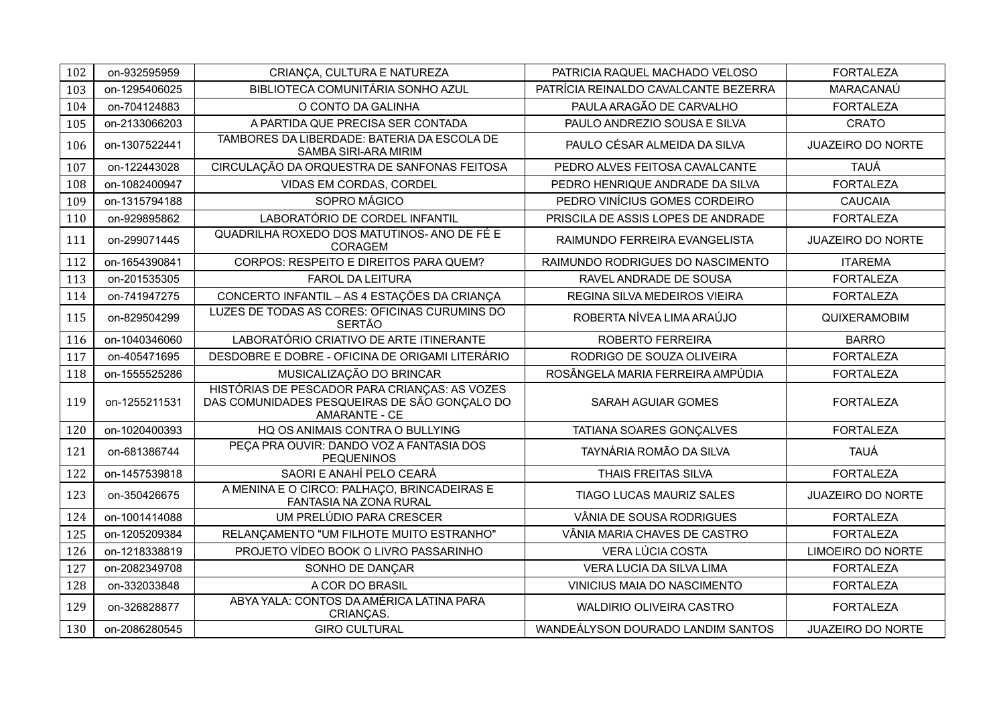| 102 | on-932595959  | CRIANÇA, CULTURA E NATUREZA                                                                                    | PATRICIA RAQUEL MACHADO VELOSO       | <b>FORTALEZA</b>         |
|-----|---------------|----------------------------------------------------------------------------------------------------------------|--------------------------------------|--------------------------|
| 103 | on-1295406025 | BIBLIOTECA COMUNITÁRIA SONHO AZUL                                                                              | PATRÍCIA REINALDO CAVALCANTE BEZERRA | MARACANAÚ                |
| 104 | on-704124883  | O CONTO DA GALINHA                                                                                             | PAULA ARAGÃO DE CARVALHO             | <b>FORTALEZA</b>         |
| 105 | on-2133066203 | A PARTIDA QUE PRECISA SER CONTADA                                                                              | PAULO ANDREZIO SOUSA E SILVA         | <b>CRATO</b>             |
| 106 | on-1307522441 | TAMBORES DA LIBERDADE: BATERIA DA ESCOLA DE<br>SAMBA SIRI-ARA MIRIM                                            | PAULO CÉSAR ALMEIDA DA SILVA         | <b>JUAZEIRO DO NORTE</b> |
| 107 | on-122443028  | CIRCULAÇÃO DA ORQUESTRA DE SANFONAS FEITOSA                                                                    | PEDRO ALVES FEITOSA CAVALCANTE       | <b>TAUÁ</b>              |
| 108 | on-1082400947 | VIDAS EM CORDAS, CORDEL                                                                                        | PEDRO HENRIQUE ANDRADE DA SILVA      | <b>FORTALEZA</b>         |
| 109 | on-1315794188 | SOPRO MÁGICO                                                                                                   | PEDRO VINÍCIUS GOMES CORDEIRO        | <b>CAUCAIA</b>           |
| 110 | on-929895862  | LABORATÓRIO DE CORDEL INFANTIL                                                                                 | PRISCILA DE ASSIS LOPES DE ANDRADE   | <b>FORTALEZA</b>         |
| 111 | on-299071445  | QUADRILHA ROXEDO DOS MATUTINOS- ANO DE FÉ E<br>CORAGEM                                                         | RAIMUNDO FERREIRA EVANGELISTA        | <b>JUAZEIRO DO NORTE</b> |
| 112 | on-1654390841 | CORPOS: RESPEITO E DIREITOS PARA QUEM?                                                                         | RAIMUNDO RODRIGUES DO NASCIMENTO     | <b>ITAREMA</b>           |
| 113 | on-201535305  | <b>FAROL DA LEITURA</b>                                                                                        | RAVEL ANDRADE DE SOUSA               | <b>FORTALEZA</b>         |
| 114 | on-741947275  | CONCERTO INFANTIL - AS 4 ESTAÇÕES DA CRIANÇA                                                                   | REGINA SILVA MEDEIROS VIEIRA         | <b>FORTALEZA</b>         |
| 115 | on-829504299  | LUZES DE TODAS AS CORES: OFICINAS CURUMINS DO<br><b>SERTÃO</b>                                                 | ROBERTA NÍVEA LIMA ARAÚJO            | QUIXERAMOBIM             |
| 116 | on-1040346060 | LABORATÓRIO CRIATIVO DE ARTE ITINERANTE                                                                        | ROBERTO FERREIRA                     | <b>BARRO</b>             |
| 117 | on-405471695  | DESDOBRE E DOBRE - OFICINA DE ORIGAMI LITERÁRIO                                                                | RODRIGO DE SOUZA OLIVEIRA            | <b>FORTALEZA</b>         |
| 118 | on-1555525286 | MUSICALIZAÇÃO DO BRINCAR                                                                                       | ROSÂNGELA MARIA FERREIRA AMPÚDIA     | <b>FORTALEZA</b>         |
| 119 | on-1255211531 | HISTÓRIAS DE PESCADOR PARA CRIANÇAS: AS VOZES<br>DAS COMUNIDADES PESQUEIRAS DE SÃO GONÇALO DO<br>AMARANTE - CE | <b>SARAH AGUIAR GOMES</b>            | <b>FORTALEZA</b>         |
| 120 | on-1020400393 | HQ OS ANIMAIS CONTRA O BULLYING                                                                                | TATIANA SOARES GONÇALVES             | <b>FORTALEZA</b>         |
| 121 | on-681386744  | PECA PRA OUVIR: DANDO VOZ A FANTASIA DOS<br><b>PEQUENINOS</b>                                                  | TAYNÁRIA ROMÃO DA SILVA              | <b>TAUÁ</b>              |
| 122 | on-1457539818 | SAORI E ANAHÍ PELO CEARÁ                                                                                       | THAIS FREITAS SILVA                  | <b>FORTALEZA</b>         |
| 123 | on-350426675  | A MENINA E O CIRCO: PALHAÇO, BRINCADEIRAS E<br><b>FANTASIA NA ZONA RURAL</b>                                   | <b>TIAGO LUCAS MAURIZ SALES</b>      | <b>JUAZEIRO DO NORTE</b> |
| 124 | on-1001414088 | UM PRELÚDIO PARA CRESCER                                                                                       | VÂNIA DE SOUSA RODRIGUES             | <b>FORTALEZA</b>         |
| 125 | on-1205209384 | RELANÇAMENTO "UM FILHOTE MUITO ESTRANHO"                                                                       | VÂNIA MARIA CHAVES DE CASTRO         | <b>FORTALEZA</b>         |
| 126 | on-1218338819 | PROJETO VÍDEO BOOK O LIVRO PASSARINHO                                                                          | VERA LÚCIA COSTA                     | <b>LIMOEIRO DO NORTE</b> |
| 127 | on-2082349708 | SONHO DE DANÇAR                                                                                                | VERA LUCIA DA SILVA LIMA             | <b>FORTALEZA</b>         |
| 128 | on-332033848  | A COR DO BRASIL                                                                                                | VINICIUS MAIA DO NASCIMENTO          | <b>FORTALEZA</b>         |
| 129 | on-326828877  | ABYA YALA: CONTOS DA AMÉRICA LATINA PARA<br>CRIANÇAS.                                                          | <b>WALDIRIO OLIVEIRA CASTRO</b>      | <b>FORTALEZA</b>         |
| 130 | on-2086280545 | <b>GIRO CULTURAL</b>                                                                                           | WANDEÁLYSON DOURADO LANDIM SANTOS    | <b>JUAZEIRO DO NORTE</b> |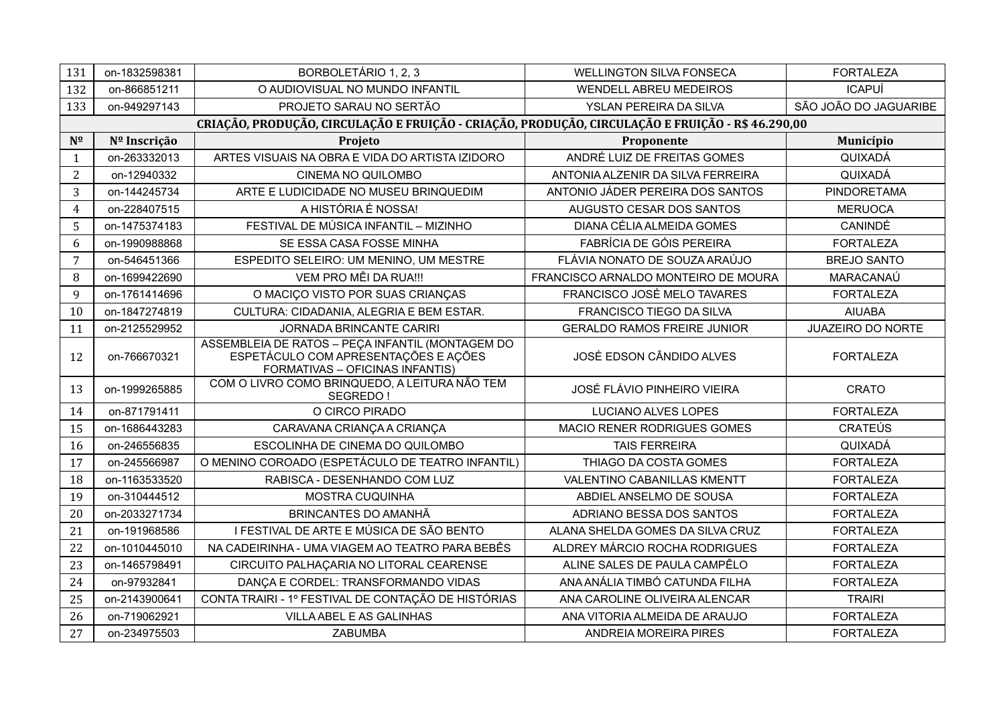| 131            | on-1832598381 | BORBOLETÁRIO 1, 2, 3                                                                                                        | <b>WELLINGTON SILVA FONSECA</b>     | <b>FORTALEZA</b>         |
|----------------|---------------|-----------------------------------------------------------------------------------------------------------------------------|-------------------------------------|--------------------------|
| 132            | on-866851211  | O AUDIOVISUAL NO MUNDO INFANTIL                                                                                             | <b>WENDELL ABREU MEDEIROS</b>       | <b>ICAPUÍ</b>            |
| 133            | on-949297143  | PROJETO SARAU NO SERTÃO                                                                                                     | YSLAN PEREIRA DA SILVA              | SÃO JOÃO DO JAGUARIBE    |
|                |               | CRIAÇÃO, PRODUÇÃO, CIRCULAÇÃO E FRUIÇÃO - CRIAÇÃO, PRODUÇÃO, CIRCULAÇÃO E FRUIÇÃO - R\$ 46.290,00                           |                                     |                          |
| $N^{\Omega}$   | Nº Inscrição  | Projeto                                                                                                                     | Proponente                          | Município                |
| $\mathbf{1}$   | on-263332013  | ARTES VISUAIS NA OBRA E VIDA DO ARTISTA IZIDORO                                                                             | ANDRÉ LUIZ DE FREITAS GOMES         | QUIXADÁ                  |
| $\overline{2}$ | on-12940332   | CINEMA NO QUILOMBO                                                                                                          | ANTONIA ALZENIR DA SILVA FERREIRA   | QUIXADÁ                  |
| 3              | on-144245734  | ARTE E LUDICIDADE NO MUSEU BRINQUEDIM                                                                                       | ANTONIO JÁDER PEREIRA DOS SANTOS    | PINDORETAMA              |
| $\overline{4}$ | on-228407515  | A HISTÓRIA É NOSSA!                                                                                                         | AUGUSTO CESAR DOS SANTOS            | <b>MERUOCA</b>           |
| 5              | on-1475374183 | FESTIVAL DE MÚSICA INFANTIL - MIZINHO                                                                                       | DIANA CÉLIA ALMEIDA GOMES           | CANINDÉ                  |
| 6              | on-1990988868 | SE ESSA CASA FOSSE MINHA                                                                                                    | <b>FABRÍCIA DE GÓIS PEREIRA</b>     | <b>FORTALEZA</b>         |
| $\overline{7}$ | on-546451366  | ESPEDITO SELEIRO: UM MENINO, UM MESTRE                                                                                      | FLÁVIA NONATO DE SOUZA ARAÚJO       | <b>BREJO SANTO</b>       |
| 8              | on-1699422690 | VEM PRO MÊI DA RUA !!!                                                                                                      | FRANCISCO ARNALDO MONTEIRO DE MOURA | MARACANAÚ                |
| 9              | on-1761414696 | O MACIÇO VISTO POR SUAS CRIANÇAS                                                                                            | FRANCISCO JOSÉ MELO TAVARES         | <b>FORTALEZA</b>         |
| 10             | on-1847274819 | CULTURA: CIDADANIA, ALEGRIA E BEM ESTAR.                                                                                    | FRANCISCO TIEGO DA SILVA            | <b>AIUABA</b>            |
| 11             | on-2125529952 | <b>JORNADA BRINCANTE CARIRI</b>                                                                                             | <b>GERALDO RAMOS FREIRE JUNIOR</b>  | <b>JUAZEIRO DO NORTE</b> |
| 12             | on-766670321  | ASSEMBLEIA DE RATOS - PEÇA INFANTIL (MONTAGEM DO<br>ESPETÁCULO COM APRESENTAÇÕES E AÇÕES<br>FORMATIVAS - OFICINAS INFANTIS) | JOSÉ EDSON CÂNDIDO ALVES            | <b>FORTALEZA</b>         |
| 13             | on-1999265885 | COM O LIVRO COMO BRINQUEDO, A LEITURA NÃO TEM<br>SEGREDO!                                                                   | JOSÉ FLÁVIO PINHEIRO VIEIRA         | <b>CRATO</b>             |
| 14             | on-871791411  | O CIRCO PIRADO                                                                                                              | <b>LUCIANO ALVES LOPES</b>          | <b>FORTALEZA</b>         |
| 15             | on-1686443283 | CARAVANA CRIANÇA A CRIANÇA                                                                                                  | MACIO RENER RODRIGUES GOMES         | <b>CRATEÚS</b>           |
| 16             | on-246556835  | ESCOLINHA DE CINEMA DO QUILOMBO                                                                                             | <b>TAIS FERREIRA</b>                | QUIXADÁ                  |
| 17             | on-245566987  | O MENINO COROADO (ESPETÁCULO DE TEATRO INFANTIL)                                                                            | THIAGO DA COSTA GOMES               | <b>FORTALEZA</b>         |
| 18             | on-1163533520 | RABISCA - DESENHANDO COM LUZ                                                                                                | VALENTINO CABANILLAS KMENTT         | <b>FORTALEZA</b>         |
| 19             | on-310444512  | MOSTRA CUQUINHA                                                                                                             | ABDIEL ANSELMO DE SOUSA             | <b>FORTALEZA</b>         |
| 20             | on-2033271734 | BRINCANTES DO AMANHÃ                                                                                                        | ADRIANO BESSA DOS SANTOS            | <b>FORTALEZA</b>         |
| 21             | on-191968586  | I FESTIVAL DE ARTE E MÚSICA DE SÃO BENTO                                                                                    | ALANA SHELDA GOMES DA SILVA CRUZ    | <b>FORTALEZA</b>         |
| 22             | on-1010445010 | NA CADEIRINHA - UMA VIAGEM AO TEATRO PARA BEBÊS                                                                             | ALDREY MÁRCIO ROCHA RODRIGUES       | <b>FORTALEZA</b>         |
| 23             | on-1465798491 | CIRCUITO PALHAÇARIA NO LITORAL CEARENSE                                                                                     | ALINE SALES DE PAULA CAMPÊLO        | <b>FORTALEZA</b>         |
| 24             | on-97932841   | DANÇA E CORDEL: TRANSFORMANDO VIDAS                                                                                         | ANA ANÁLIA TIMBÓ CATUNDA FILHA      | <b>FORTALEZA</b>         |
| 25             | on-2143900641 | CONTA TRAIRI - 1º FESTIVAL DE CONTAÇÃO DE HISTÓRIAS                                                                         | ANA CAROLINE OLIVEIRA ALENCAR       | <b>TRAIRI</b>            |
| 26             | on-719062921  | VILLA ABEL E AS GALINHAS                                                                                                    | ANA VITORIA ALMEIDA DE ARAUJO       | <b>FORTALEZA</b>         |
| 27             | on-234975503  | ZABUMBA                                                                                                                     | <b>ANDREIA MOREIRA PIRES</b>        | <b>FORTALEZA</b>         |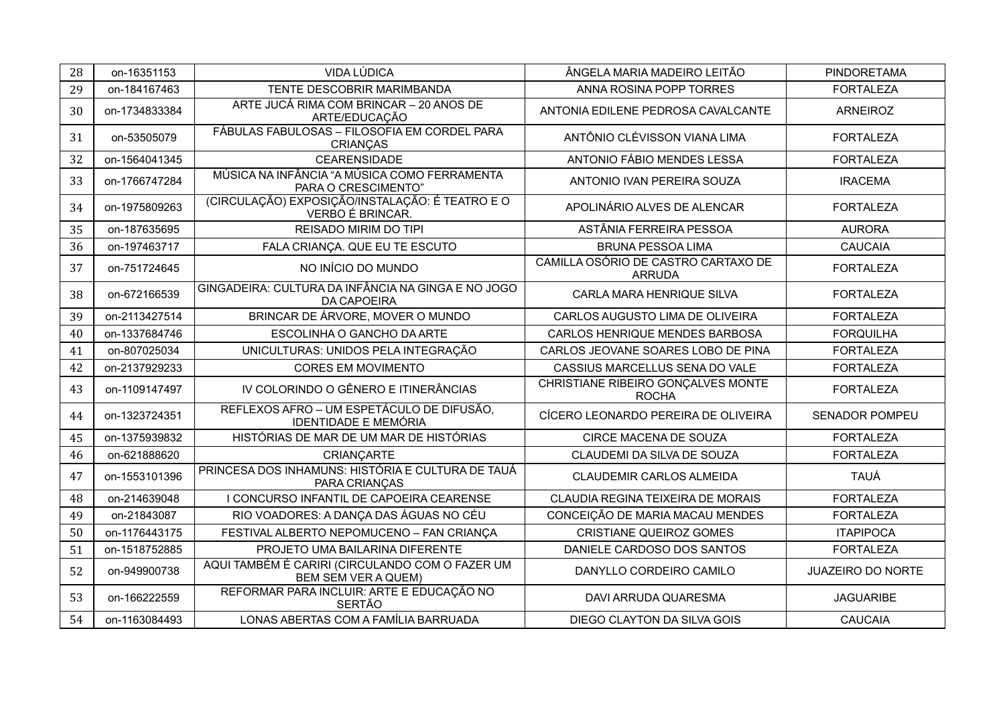| 28 | on-16351153   | VIDA LÚDICA                                                              | ÂNGELA MARIA MADEIRO LEITÃO                          | <b>PINDORETAMA</b>       |
|----|---------------|--------------------------------------------------------------------------|------------------------------------------------------|--------------------------|
| 29 | on-184167463  | TENTE DESCOBRIR MARIMBANDA                                               | ANNA ROSINA POPP TORRES                              | <b>FORTALEZA</b>         |
| 30 | on-1734833384 | ARTE JUCÁ RIMA COM BRINCAR - 20 ANOS DE<br>ARTE/EDUCAÇÃO                 | ANTONIA EDILENE PEDROSA CAVALCANTE                   | <b>ARNEIROZ</b>          |
| 31 | on-53505079   | FÁBULAS FABULOSAS - FILOSOFIA EM CORDEL PARA<br>CRIANÇAS                 | ANTÔNIO CLÉVISSON VIANA LIMA                         | <b>FORTALEZA</b>         |
| 32 | on-1564041345 | <b>CEARENSIDADE</b>                                                      | ANTONIO FÁBIO MENDES LESSA                           | <b>FORTALEZA</b>         |
| 33 | on-1766747284 | MÚSICA NA INFÂNCIA "A MÚSICA COMO FERRAMENTA<br>PARA O CRESCIMENTO"      | ANTONIO IVAN PEREIRA SOUZA                           | <b>IRACEMA</b>           |
| 34 | on-1975809263 | (CIRCULAÇÃO) EXPOSIÇÃO/INSTALAÇÃO: É TEATRO E O<br>VERBO É BRINCAR.      | APOLINÁRIO ALVES DE ALENCAR                          | <b>FORTALEZA</b>         |
| 35 | on-187635695  | REISADO MIRIM DO TIPI                                                    | ASTÂNIA FERREIRA PESSOA                              | <b>AURORA</b>            |
| 36 | on-197463717  | FALA CRIANÇA. QUE EU TE ESCUTO                                           | <b>BRUNA PESSOA LIMA</b>                             | <b>CAUCAIA</b>           |
| 37 | on-751724645  | NO INÍCIO DO MUNDO                                                       | CAMILLA OSÓRIO DE CASTRO CARTAXO DE<br><b>ARRUDA</b> | <b>FORTALEZA</b>         |
| 38 | on-672166539  | GINGADEIRA: CULTURA DA INFÂNCIA NA GINGA E NO JOGO<br><b>DA CAPOEIRA</b> | CARLA MARA HENRIQUE SILVA                            | <b>FORTALEZA</b>         |
| 39 | on-2113427514 | BRINCAR DE ÁRVORE, MOVER O MUNDO                                         | CARLOS AUGUSTO LIMA DE OLIVEIRA                      | <b>FORTALEZA</b>         |
| 40 | on-1337684746 | ESCOLINHA O GANCHO DA ARTE                                               | CARLOS HENRIQUE MENDES BARBOSA                       | <b>FORQUILHA</b>         |
| 41 | on-807025034  | UNICULTURAS: UNIDOS PELA INTEGRAÇÃO                                      | CARLOS JEOVANE SOARES LOBO DE PINA                   | <b>FORTALEZA</b>         |
| 42 | on-2137929233 | <b>CORES EM MOVIMENTO</b>                                                | CASSIUS MARCELLUS SENA DO VALE                       | <b>FORTALEZA</b>         |
| 43 | on-1109147497 | IV COLORINDO O GÊNERO E ITINERÂNCIAS                                     | CHRISTIANE RIBEIRO GONÇALVES MONTE<br><b>ROCHA</b>   | <b>FORTALEZA</b>         |
| 44 | on-1323724351 | REFLEXOS AFRO - UM ESPETÁCULO DE DIFUSÃO,<br><b>IDENTIDADE E MEMÓRIA</b> | CÍCERO LEONARDO PEREIRA DE OLIVEIRA                  | <b>SENADOR POMPEU</b>    |
| 45 | on-1375939832 | HISTÓRIAS DE MAR DE UM MAR DE HISTÓRIAS                                  | CIRCE MACENA DE SOUZA                                | <b>FORTALEZA</b>         |
| 46 | on-621888620  | CRIANÇARTE                                                               | CLAUDEMI DA SILVA DE SOUZA                           | <b>FORTALEZA</b>         |
| 47 | on-1553101396 | PRINCESA DOS INHAMUNS: HISTÓRIA E CULTURA DE TAUÁ<br>PARA CRIANÇAS       | <b>CLAUDEMIR CARLOS ALMEIDA</b>                      | <b>TAUÁ</b>              |
| 48 | on-214639048  | I CONCURSO INFANTIL DE CAPOEIRA CEARENSE                                 | CLAUDIA REGINA TEIXEIRA DE MORAIS                    | <b>FORTALEZA</b>         |
| 49 | on-21843087   | RIO VOADORES: A DANÇA DAS ÁGUAS NO CÉU                                   | CONCEIÇÃO DE MARIA MACAU MENDES                      | <b>FORTALEZA</b>         |
| 50 | on-1176443175 | FESTIVAL ALBERTO NEPOMUCENO - FAN CRIANÇA                                | <b>CRISTIANE QUEIROZ GOMES</b>                       | <b>ITAPIPOCA</b>         |
| 51 | on-1518752885 | PROJETO UMA BAILARINA DIFERENTE                                          | DANIELE CARDOSO DOS SANTOS                           | <b>FORTALEZA</b>         |
| 52 | on-949900738  | AQUI TAMBÉM É CARIRI (CIRCULANDO COM O FAZER UM<br>BEM SEM VER A QUEM)   | DANYLLO CORDEIRO CAMILO                              | <b>JUAZEIRO DO NORTE</b> |
| 53 | on-166222559  | REFORMAR PARA INCLUIR: ARTE E EDUCAÇÃO NO<br><b>SERTÃO</b>               | DAVI ARRUDA QUARESMA                                 | <b>JAGUARIBE</b>         |
| 54 | on-1163084493 | LONAS ABERTAS COM A FAMÍLIA BARRUADA                                     | DIEGO CLAYTON DA SILVA GOIS                          | <b>CAUCAIA</b>           |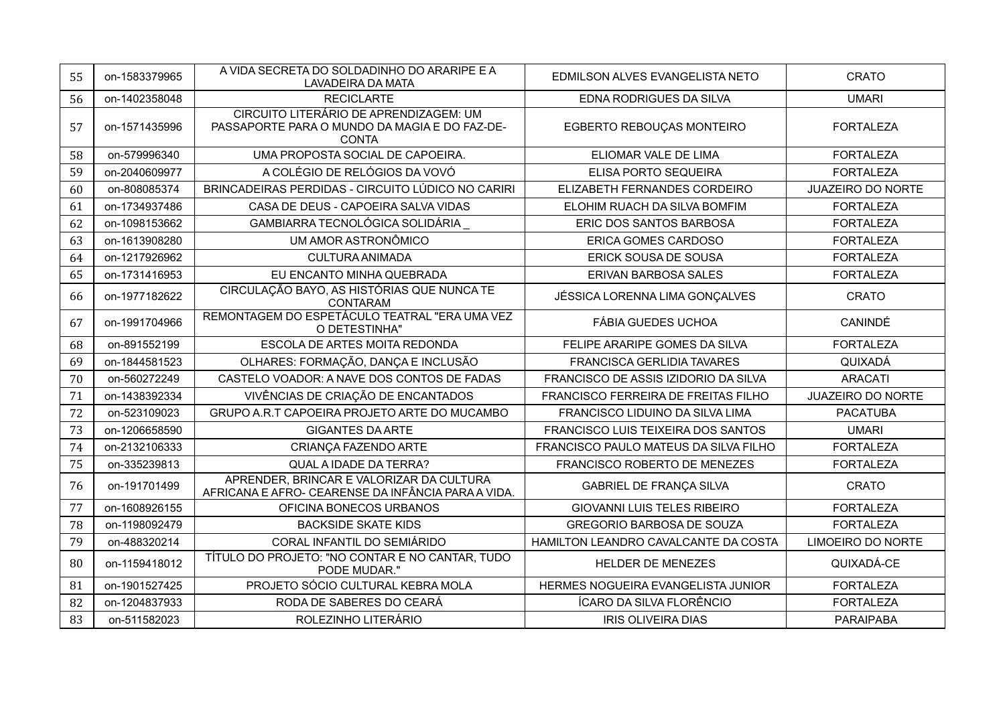| 55 | on-1583379965 | A VIDA SECRETA DO SOLDADINHO DO ARARIPE E A<br><b>LAVADEIRA DA MATA</b>                                 | EDMILSON ALVES EVANGELISTA NETO       | <b>CRATO</b>             |
|----|---------------|---------------------------------------------------------------------------------------------------------|---------------------------------------|--------------------------|
| 56 | on-1402358048 | <b>RECICLARTE</b>                                                                                       | EDNA RODRIGUES DA SILVA               | <b>UMARI</b>             |
| 57 | on-1571435996 | CIRCUITO LITERÁRIO DE APRENDIZAGEM: UM<br>PASSAPORTE PARA O MUNDO DA MAGIA E DO FAZ-DE-<br><b>CONTA</b> | EGBERTO REBOUÇAS MONTEIRO             | <b>FORTALEZA</b>         |
| 58 | on-579996340  | UMA PROPOSTA SOCIAL DE CAPOEIRA.                                                                        | ELIOMAR VALE DE LIMA                  | <b>FORTALEZA</b>         |
| 59 | on-2040609977 | A COLÉGIO DE RELÓGIOS DA VOVÓ                                                                           | ELISA PORTO SEQUEIRA                  | <b>FORTALEZA</b>         |
| 60 | on-808085374  | BRINCADEIRAS PERDIDAS - CIRCUITO LÚDICO NO CARIRI                                                       | ELIZABETH FERNANDES CORDEIRO          | <b>JUAZEIRO DO NORTE</b> |
| 61 | on-1734937486 | CASA DE DEUS - CAPOEIRA SALVA VIDAS                                                                     | ELOHIM RUACH DA SILVA BOMFIM          | <b>FORTALEZA</b>         |
| 62 | on-1098153662 | GAMBIARRA TECNOLÓGICA SOLIDÁRIA                                                                         | ERIC DOS SANTOS BARBOSA               | <b>FORTALEZA</b>         |
| 63 | on-1613908280 | UM AMOR ASTRONÔMICO                                                                                     | ERICA GOMES CARDOSO                   | <b>FORTALEZA</b>         |
| 64 | on-1217926962 | <b>CULTURA ANIMADA</b>                                                                                  | ERICK SOUSA DE SOUSA                  | <b>FORTALEZA</b>         |
| 65 | on-1731416953 | EU ENCANTO MINHA QUEBRADA                                                                               | ERIVAN BARBOSA SALES                  | <b>FORTALEZA</b>         |
| 66 | on-1977182622 | CIRCULAÇÃO BAYO, AS HISTÓRIAS QUE NUNCA TE<br>CONTARAM                                                  | JÉSSICA LORENNA LIMA GONÇALVES        | <b>CRATO</b>             |
| 67 | on-1991704966 | REMONTAGEM DO ESPETÁCULO TEATRAL "ERA UMA VEZ<br>O DETESTINHA"                                          | <b>FÁBIA GUEDES UCHOA</b>             | CANINDÉ                  |
| 68 | on-891552199  | ESCOLA DE ARTES MOITA REDONDA                                                                           | FELIPE ARARIPE GOMES DA SILVA         | <b>FORTALEZA</b>         |
| 69 | on-1844581523 | OLHARES: FORMAÇÃO, DANÇA E INCLUSÃO                                                                     | <b>FRANCISCA GERLIDIA TAVARES</b>     | QUIXADÁ                  |
| 70 | on-560272249  | CASTELO VOADOR: A NAVE DOS CONTOS DE FADAS                                                              | FRANCISCO DE ASSIS IZIDORIO DA SILVA  | <b>ARACATI</b>           |
| 71 | on-1438392334 | VIVÊNCIAS DE CRIAÇÃO DE ENCANTADOS                                                                      | FRANCISCO FERREIRA DE FREITAS FILHO   | <b>JUAZEIRO DO NORTE</b> |
| 72 | on-523109023  | GRUPO A.R.T CAPOEIRA PROJETO ARTE DO MUCAMBO                                                            | FRANCISCO LIDUINO DA SILVA LIMA       | <b>PACATUBA</b>          |
| 73 | on-1206658590 | <b>GIGANTES DA ARTE</b>                                                                                 | FRANCISCO LUIS TEIXEIRA DOS SANTOS    | <b>UMARI</b>             |
| 74 | on-2132106333 | CRIANÇA FAZENDO ARTE                                                                                    | FRANCISCO PAULO MATEUS DA SILVA FILHO | <b>FORTALEZA</b>         |
| 75 | on-335239813  | QUAL A IDADE DA TERRA?                                                                                  | FRANCISCO ROBERTO DE MENEZES          | <b>FORTALEZA</b>         |
| 76 | on-191701499  | APRENDER, BRINCAR E VALORIZAR DA CULTURA<br>AFRICANA E AFRO- CEARENSE DA INFÂNCIA PARA A VIDA.          | <b>GABRIEL DE FRANÇA SILVA</b>        | <b>CRATO</b>             |
| 77 | on-1608926155 | OFICINA BONECOS URBANOS                                                                                 | <b>GIOVANNI LUIS TELES RIBEIRO</b>    | <b>FORTALEZA</b>         |
| 78 | on-1198092479 | <b>BACKSIDE SKATE KIDS</b>                                                                              | GREGORIO BARBOSA DE SOUZA             | <b>FORTALEZA</b>         |
| 79 | on-488320214  | CORAL INFANTIL DO SEMIÁRIDO                                                                             | HAMILTON LEANDRO CAVALCANTE DA COSTA  | <b>LIMOEIRO DO NORTE</b> |
| 80 | on-1159418012 | TÍTULO DO PROJETO: "NO CONTAR E NO CANTAR, TUDO<br>PODE MUDAR."                                         | <b>HELDER DE MENEZES</b>              | QUIXADÁ-CE               |
| 81 | on-1901527425 | PROJETO SÓCIO CULTURAL KEBRA MOLA                                                                       | HERMES NOGUEIRA EVANGELISTA JUNIOR    | <b>FORTALEZA</b>         |
| 82 | on-1204837933 | RODA DE SABERES DO CEARÁ                                                                                | ÍCARO DA SILVA FLORÊNCIO              | <b>FORTALEZA</b>         |
| 83 | on-511582023  | ROLEZINHO LITERÁRIO                                                                                     | <b>IRIS OLIVEIRA DIAS</b>             | <b>PARAIPABA</b>         |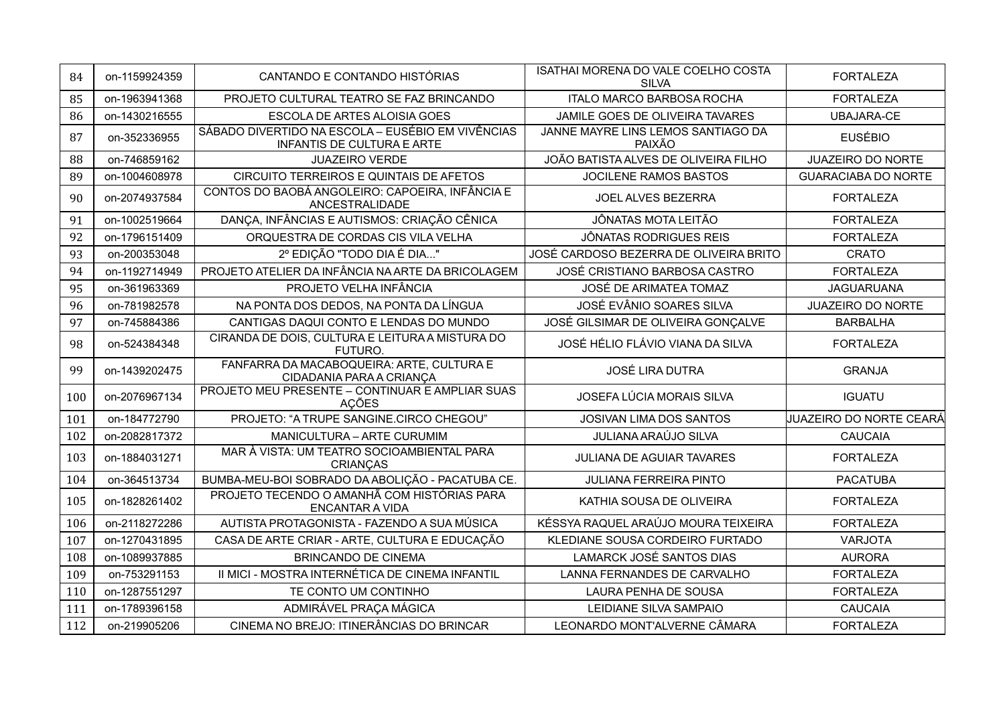| 84  | on-1159924359 | CANTANDO E CONTANDO HISTÓRIAS                                                          | ISATHAI MORENA DO VALE COELHO COSTA<br><b>SILVA</b> | <b>FORTALEZA</b>           |
|-----|---------------|----------------------------------------------------------------------------------------|-----------------------------------------------------|----------------------------|
| 85  | on-1963941368 | PROJETO CULTURAL TEATRO SE FAZ BRINCANDO                                               | <b>ITALO MARCO BARBOSA ROCHA</b>                    | <b>FORTALEZA</b>           |
| 86  | on-1430216555 | ESCOLA DE ARTES ALOISIA GOES                                                           | JAMILE GOES DE OLIVEIRA TAVARES                     | <b>UBAJARA-CE</b>          |
| 87  | on-352336955  | SÁBADO DIVERTIDO NA ESCOLA - EUSÉBIO EM VIVÊNCIAS<br><b>INFANTIS DE CULTURA E ARTE</b> | JANNE MAYRE LINS LEMOS SANTIAGO DA<br>PAIXÃO        | <b>EUSÉBIO</b>             |
| 88  | on-746859162  | <b>JUAZEIRO VERDE</b>                                                                  | JOÃO BATISTA ALVES DE OLIVEIRA FILHO                | <b>JUAZEIRO DO NORTE</b>   |
| 89  | on-1004608978 | CIRCUITO TERREIROS E QUINTAIS DE AFETOS                                                | JOCILENE RAMOS BASTOS                               | <b>GUARACIABA DO NORTE</b> |
| 90  | on-2074937584 | CONTOS DO BAOBÁ ANGOLEIRO: CAPOEIRA, INFÂNCIA E<br>ANCESTRALIDADE                      | JOEL ALVES BEZERRA                                  | <b>FORTALEZA</b>           |
| 91  | on-1002519664 | DANÇA, INFÂNCIAS E AUTISMOS: CRIAÇÃO CÊNICA                                            | <b>JÔNATAS MOTA LEITÃO</b>                          | <b>FORTALEZA</b>           |
| 92  | on-1796151409 | ORQUESTRA DE CORDAS CIS VILA VELHA                                                     | <b>JÔNATAS RODRIGUES REIS</b>                       | <b>FORTALEZA</b>           |
| 93  | on-200353048  | 2º EDIÇÃO "TODO DIA É DIA"                                                             | JOSÉ CARDOSO BEZERRA DE OLIVEIRA BRITO              | <b>CRATO</b>               |
| 94  | on-1192714949 | PROJETO ATELIER DA INFÂNCIA NA ARTE DA BRICOLAGEM                                      | JOSÉ CRISTIANO BARBOSA CASTRO                       | <b>FORTALEZA</b>           |
| 95  | on-361963369  | PROJETO VELHA INFÂNCIA                                                                 | JOSÉ DE ARIMATEA TOMAZ                              | <b>JAGUARUANA</b>          |
| 96  | on-781982578  | NA PONTA DOS DEDOS, NA PONTA DA LÍNGUA                                                 | JOSÉ EVÂNIO SOARES SILVA                            | <b>JUAZEIRO DO NORTE</b>   |
| 97  | on-745884386  | CANTIGAS DAQUI CONTO E LENDAS DO MUNDO                                                 | JOSÉ GILSIMAR DE OLIVEIRA GONÇALVE                  | <b>BARBALHA</b>            |
| 98  | on-524384348  | CIRANDA DE DOIS, CULTURA E LEITURA A MISTURA DO<br>FUTURO.                             | JOSÉ HÉLIO FLÁVIO VIANA DA SILVA                    | <b>FORTALEZA</b>           |
| 99  | on-1439202475 | FANFARRA DA MACABOQUEIRA: ARTE, CULTURA E<br>CIDADANIA PARA A CRIANÇA                  | <b>JOSÉ LIRA DUTRA</b>                              | <b>GRANJA</b>              |
| 100 | on-2076967134 | PROJETO MEU PRESENTE - CONTINUAR E AMPLIAR SUAS<br><b>AÇÕES</b>                        | JOSEFA LÚCIA MORAIS SILVA                           | <b>IGUATU</b>              |
| 101 | on-184772790  | PROJETO: "A TRUPE SANGINE.CIRCO CHEGOU"                                                | JOSIVAN LIMA DOS SANTOS                             | JUAZEIRO DO NORTE CEARÁ    |
| 102 | on-2082817372 | MANICULTURA - ARTE CURUMIM                                                             | <b>JULIANA ARAÚJO SILVA</b>                         | <b>CAUCAIA</b>             |
| 103 | on-1884031271 | MAR À VISTA: UM TEATRO SOCIOAMBIENTAL PARA<br><b>CRIANÇAS</b>                          | <b>JULIANA DE AGUIAR TAVARES</b>                    | <b>FORTALEZA</b>           |
| 104 | on-364513734  | BUMBA-MEU-BOI SOBRADO DA ABOLIÇÃO - PACATUBA CE.                                       | <b>JULIANA FERREIRA PINTO</b>                       | <b>PACATUBA</b>            |
| 105 | on-1828261402 | PROJETO TECENDO O AMANHÃ COM HISTÓRIAS PARA<br><b>ENCANTAR A VIDA</b>                  | KATHIA SOUSA DE OLIVEIRA                            | <b>FORTALEZA</b>           |
| 106 | on-2118272286 | AUTISTA PROTAGONISTA - FAZENDO A SUA MÚSICA                                            | KÉSSYA RAQUEL ARAÚJO MOURA TEIXEIRA                 | <b>FORTALEZA</b>           |
| 107 | on-1270431895 | CASA DE ARTE CRIAR - ARTE, CULTURA E EDUCAÇÃO                                          | KLEDIANE SOUSA CORDEIRO FURTADO                     | <b>VARJOTA</b>             |
| 108 | on-1089937885 | <b>BRINCANDO DE CINEMA</b>                                                             | <b>LAMARCK JOSÉ SANTOS DIAS</b>                     | <b>AURORA</b>              |
| 109 | on-753291153  | II MICI - MOSTRA INTERNÉTICA DE CINEMA INFANTIL                                        | LANNA FERNANDES DE CARVALHO                         | <b>FORTALEZA</b>           |
| 110 | on-1287551297 | TE CONTO UM CONTINHO                                                                   | LAURA PENHA DE SOUSA                                | <b>FORTALEZA</b>           |
| 111 | on-1789396158 | ADMIRÁVEL PRAÇA MÁGICA                                                                 | LEIDIANE SILVA SAMPAIO                              | <b>CAUCAIA</b>             |
| 112 | on-219905206  | CINEMA NO BREJO: ITINERÂNCIAS DO BRINCAR                                               | LEONARDO MONT'ALVERNE CÂMARA                        | <b>FORTALEZA</b>           |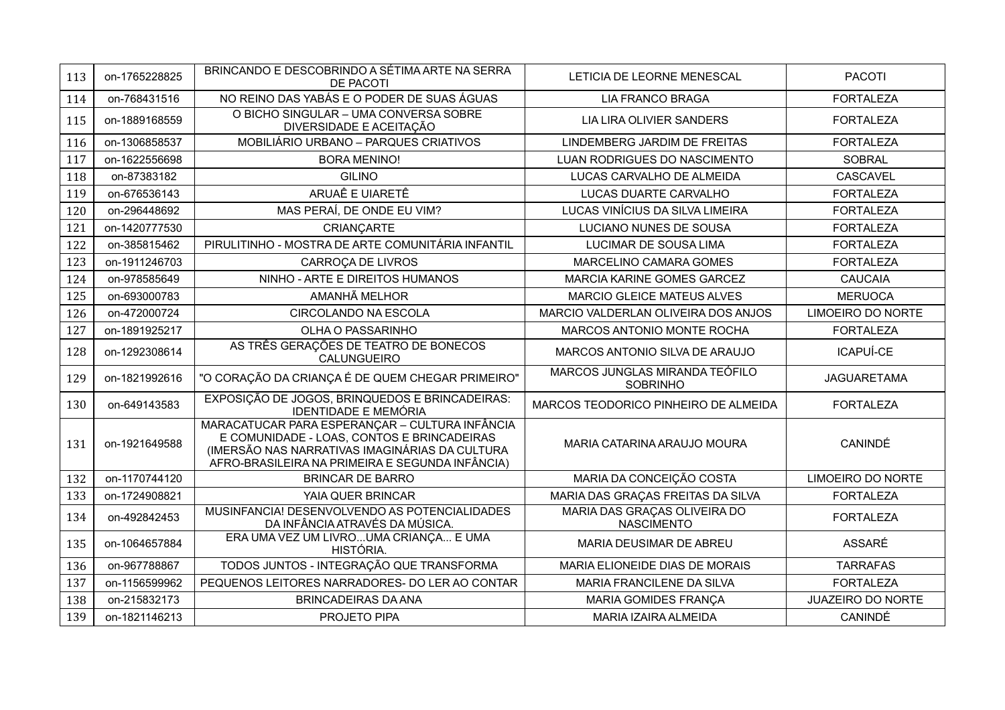| 113 | on-1765228825 | BRINCANDO E DESCOBRINDO A SÉTIMA ARTE NA SERRA<br>DE PACOTI                                                                                                                                       | LETICIA DE LEORNE MENESCAL                        | <b>PACOTI</b>            |
|-----|---------------|---------------------------------------------------------------------------------------------------------------------------------------------------------------------------------------------------|---------------------------------------------------|--------------------------|
| 114 | on-768431516  | NO REINO DAS YABÁS E O PODER DE SUAS ÁGUAS                                                                                                                                                        | <b>LIA FRANCO BRAGA</b>                           | <b>FORTALEZA</b>         |
| 115 | on-1889168559 | O BICHO SINGULAR - UMA CONVERSA SOBRE<br>DIVERSIDADE E ACEITAÇÃO                                                                                                                                  | LIA LIRA OLIVIER SANDERS                          | <b>FORTALEZA</b>         |
| 116 | on-1306858537 | MOBILIÁRIO URBANO - PARQUES CRIATIVOS                                                                                                                                                             | LINDEMBERG JARDIM DE FREITAS                      | <b>FORTALEZA</b>         |
| 117 | on-1622556698 | <b>BORA MENINO!</b>                                                                                                                                                                               | LUAN RODRIGUES DO NASCIMENTO                      | <b>SOBRAL</b>            |
| 118 | on-87383182   | <b>GILINO</b>                                                                                                                                                                                     | LUCAS CARVALHO DE ALMEIDA                         | CASCAVEL                 |
| 119 | on-676536143  | ARUAÊ E UIARETÊ                                                                                                                                                                                   | LUCAS DUARTE CARVALHO                             | <b>FORTALEZA</b>         |
| 120 | on-296448692  | MAS PERAÍ, DE ONDE EU VIM?                                                                                                                                                                        | LUCAS VINÍCIUS DA SILVA LIMEIRA                   | <b>FORTALEZA</b>         |
| 121 | on-1420777530 | CRIANÇARTE                                                                                                                                                                                        | LUCIANO NUNES DE SOUSA                            | <b>FORTALEZA</b>         |
| 122 | on-385815462  | PIRULITINHO - MOSTRA DE ARTE COMUNITÁRIA INFANTIL                                                                                                                                                 | LUCIMAR DE SOUSA LIMA                             | <b>FORTALEZA</b>         |
| 123 | on-1911246703 | CARROÇA DE LIVROS                                                                                                                                                                                 | MARCELINO CAMARA GOMES                            | <b>FORTALEZA</b>         |
| 124 | on-978585649  | NINHO - ARTE E DIREITOS HUMANOS                                                                                                                                                                   | MARCIA KARINE GOMES GARCEZ                        | <b>CAUCAIA</b>           |
| 125 | on-693000783  | AMANHÃ MELHOR                                                                                                                                                                                     | <b>MARCIO GLEICE MATEUS ALVES</b>                 | <b>MERUOCA</b>           |
| 126 | on-472000724  | <b>CIRCOLANDO NA ESCOLA</b>                                                                                                                                                                       | MARCIO VALDERLAN OLIVEIRA DOS ANJOS               | <b>LIMOEIRO DO NORTE</b> |
| 127 | on-1891925217 | OLHA O PASSARINHO                                                                                                                                                                                 | <b>MARCOS ANTONIO MONTE ROCHA</b>                 | <b>FORTALEZA</b>         |
| 128 | on-1292308614 | AS TRÊS GERAÇÕES DE TEATRO DE BONECOS<br>CALUNGUEIRO                                                                                                                                              | MARCOS ANTONIO SILVA DE ARAUJO                    | ICAPUÍ-CE                |
| 129 | on-1821992616 | "O CORAÇÃO DA CRIANÇA É DE QUEM CHEGAR PRIMEIRO"                                                                                                                                                  | MARCOS JUNGLAS MIRANDA TEÓFILO<br><b>SOBRINHO</b> | <b>JAGUARETAMA</b>       |
| 130 | on-649143583  | EXPOSIÇÃO DE JOGOS, BRINQUEDOS E BRINCADEIRAS:<br><b>IDENTIDADE E MEMÓRIA</b>                                                                                                                     | MARCOS TEODORICO PINHEIRO DE ALMEIDA              | <b>FORTALEZA</b>         |
| 131 | on-1921649588 | MARACATUCAR PARA ESPERANÇAR - CULTURA INFÂNCIA<br>E COMUNIDADE - LOAS, CONTOS E BRINCADEIRAS<br>(IMERSÃO NAS NARRATIVAS IMAGINÁRIAS DA CULTURA<br>AFRO-BRASILEIRA NA PRIMEIRA E SEGUNDA INFÂNCIA) | MARIA CATARINA ARAUJO MOURA                       | CANINDÉ                  |
| 132 | on-1170744120 | <b>BRINCAR DE BARRO</b>                                                                                                                                                                           | MARIA DA CONCEIÇÃO COSTA                          | <b>LIMOEIRO DO NORTE</b> |
| 133 | on-1724908821 | YAIA QUER BRINCAR                                                                                                                                                                                 | MARIA DAS GRAÇAS FREITAS DA SILVA                 | <b>FORTALEZA</b>         |
| 134 | on-492842453  | MUSINFANCIA! DESENVOLVENDO AS POTENCIALIDADES<br>DA INFÂNCIA ATRAVÉS DA MÚSICA.                                                                                                                   | MARIA DAS GRAÇAS OLIVEIRA DO<br><b>NASCIMENTO</b> | <b>FORTALEZA</b>         |
| 135 | on-1064657884 | ERA UMA VEZ UM LIVROUMA CRIANÇA E UMA<br>HISTÓRIA.                                                                                                                                                | MARIA DEUSIMAR DE ABREU                           | ASSARÉ                   |
| 136 | on-967788867  | TODOS JUNTOS - INTEGRAÇÃO QUE TRANSFORMA                                                                                                                                                          | MARIA ELIONEIDE DIAS DE MORAIS                    | <b>TARRAFAS</b>          |
| 137 | on-1156599962 | PEQUENOS LEITORES NARRADORES- DO LER AO CONTAR                                                                                                                                                    | MARIA FRANCILENE DA SILVA                         | <b>FORTALEZA</b>         |
| 138 | on-215832173  | <b>BRINCADEIRAS DA ANA</b>                                                                                                                                                                        | <b>MARIA GOMIDES FRANÇA</b>                       | <b>JUAZEIRO DO NORTE</b> |
| 139 | on-1821146213 | PROJETO PIPA                                                                                                                                                                                      | MARIA IZAIRA ALMEIDA                              | CANINDÉ                  |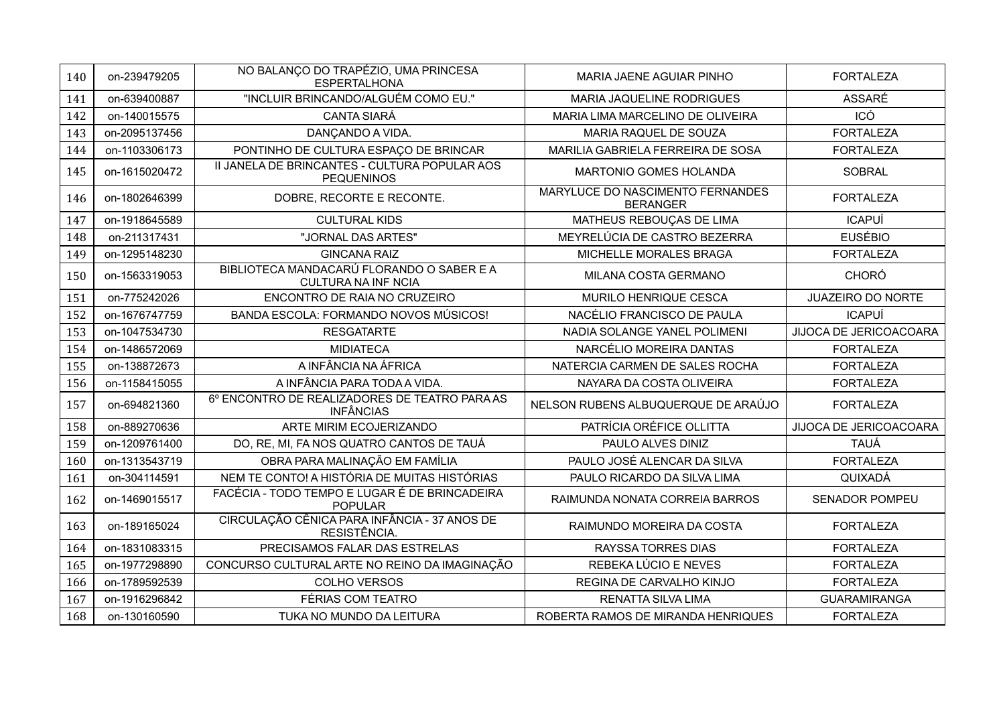| 140 | on-239479205  | NO BALANÇO DO TRAPÉZIO, UMA PRINCESA<br><b>ESPERTALHONA</b>             | MARIA JAENE AGUIAR PINHO                            | <b>FORTALEZA</b>         |
|-----|---------------|-------------------------------------------------------------------------|-----------------------------------------------------|--------------------------|
| 141 | on-639400887  | "INCLUIR BRINCANDO/ALGUÉM COMO EU."                                     | <b>MARIA JAQUELINE RODRIGUES</b>                    | <b>ASSARÉ</b>            |
| 142 | on-140015575  | <b>CANTA SIARÁ</b>                                                      | MARIA LIMA MARCELINO DE OLIVEIRA                    | ICÓ                      |
| 143 | on-2095137456 | DANÇANDO A VIDA.                                                        | MARIA RAQUEL DE SOUZA                               | <b>FORTALEZA</b>         |
| 144 | on-1103306173 | PONTINHO DE CULTURA ESPAÇO DE BRINCAR                                   | MARILIA GABRIELA FERREIRA DE SOSA                   | <b>FORTALEZA</b>         |
| 145 | on-1615020472 | II JANELA DE BRINCANTES - CULTURA POPULAR AOS<br><b>PEQUENINOS</b>      | <b>MARTONIO GOMES HOLANDA</b>                       | <b>SOBRAL</b>            |
| 146 | on-1802646399 | DOBRE, RECORTE E RECONTE.                                               | MARYLUCE DO NASCIMENTO FERNANDES<br><b>BERANGER</b> | <b>FORTALEZA</b>         |
| 147 | on-1918645589 | <b>CULTURAL KIDS</b>                                                    | MATHEUS REBOUÇAS DE LIMA                            | <b>ICAPUÍ</b>            |
| 148 | on-211317431  | "JORNAL DAS ARTES"                                                      | MEYRELÚCIA DE CASTRO BEZERRA                        | <b>EUSÉBIO</b>           |
| 149 | on-1295148230 | <b>GINCANA RAIZ</b>                                                     | MICHELLE MORALES BRAGA                              | <b>FORTALEZA</b>         |
| 150 | on-1563319053 | BIBLIOTECA MANDACARÚ FLORANDO O SABER E A<br><b>CULTURA NA INF NCIA</b> | MILANA COSTA GERMANO                                | <b>CHORÓ</b>             |
| 151 | on-775242026  | ENCONTRO DE RAIA NO CRUZEIRO                                            | MURILO HENRIQUE CESCA                               | <b>JUAZEIRO DO NORTE</b> |
| 152 | on-1676747759 | BANDA ESCOLA: FORMANDO NOVOS MÚSICOS!                                   | NACÉLIO FRANCISCO DE PAULA                          | <b>ICAPUÍ</b>            |
| 153 | on-1047534730 | <b>RESGATARTE</b>                                                       | NADIA SOLANGE YANEL POLIMENI                        | JIJOCA DE JERICOACOARA   |
| 154 | on-1486572069 | <b>MIDIATECA</b>                                                        | NARCÉLIO MOREIRA DANTAS                             | <b>FORTALEZA</b>         |
| 155 | on-138872673  | A INFÂNCIA NA ÁFRICA                                                    | NATERCIA CARMEN DE SALES ROCHA                      | <b>FORTALEZA</b>         |
| 156 | on-1158415055 | A INFÂNCIA PARA TODA A VIDA.                                            | NAYARA DA COSTA OLIVEIRA                            | <b>FORTALEZA</b>         |
| 157 | on-694821360  | 6° ENCONTRO DE REALIZADORES DE TEATRO PARA AS<br><b>INFÂNCIAS</b>       | NELSON RUBENS ALBUQUERQUE DE ARAÚJO                 | <b>FORTALEZA</b>         |
| 158 | on-889270636  | ARTE MIRIM ECOJERIZANDO                                                 | PATRÍCIA ORÉFICE OLLITTA                            | JIJOCA DE JERICOACOARA   |
| 159 | on-1209761400 | DO, RE, MI, FA NOS QUATRO CANTOS DE TAUÁ                                | PAULO ALVES DINIZ                                   | <b>TAUÁ</b>              |
| 160 | on-1313543719 | OBRA PARA MALINAÇÃO EM FAMÍLIA                                          | PAULO JOSÉ ALENCAR DA SILVA                         | <b>FORTALEZA</b>         |
| 161 | on-304114591  | NEM TE CONTO! A HISTÓRIA DE MUITAS HISTÓRIAS                            | PAULO RICARDO DA SILVA LIMA                         | QUIXADÁ                  |
| 162 | on-1469015517 | FACÉCIA - TODO TEMPO E LUGAR É DE BRINCADEIRA<br><b>POPULAR</b>         | RAIMUNDA NONATA CORREIA BARROS                      | <b>SENADOR POMPEU</b>    |
| 163 | on-189165024  | CIRCULAÇÃO CÊNICA PARA INFÂNCIA - 37 ANOS DE<br>RESISTÊNCIA.            | RAIMUNDO MOREIRA DA COSTA                           | <b>FORTALEZA</b>         |
| 164 | on-1831083315 | PRECISAMOS FALAR DAS ESTRELAS                                           | RAYSSA TORRES DIAS                                  | <b>FORTALEZA</b>         |
| 165 | on-1977298890 | CONCURSO CULTURAL ARTE NO REINO DA IMAGINAÇÃO                           | REBEKA LÚCIO E NEVES                                | <b>FORTALEZA</b>         |
| 166 | on-1789592539 | <b>COLHO VERSOS</b>                                                     | REGINA DE CARVALHO KINJO                            | <b>FORTALEZA</b>         |
| 167 | on-1916296842 | FÉRIAS COM TEATRO                                                       | <b>RENATTA SILVA LIMA</b>                           | <b>GUARAMIRANGA</b>      |
| 168 | on-130160590  | TUKA NO MUNDO DA LEITURA                                                | ROBERTA RAMOS DE MIRANDA HENRIQUES                  | <b>FORTALEZA</b>         |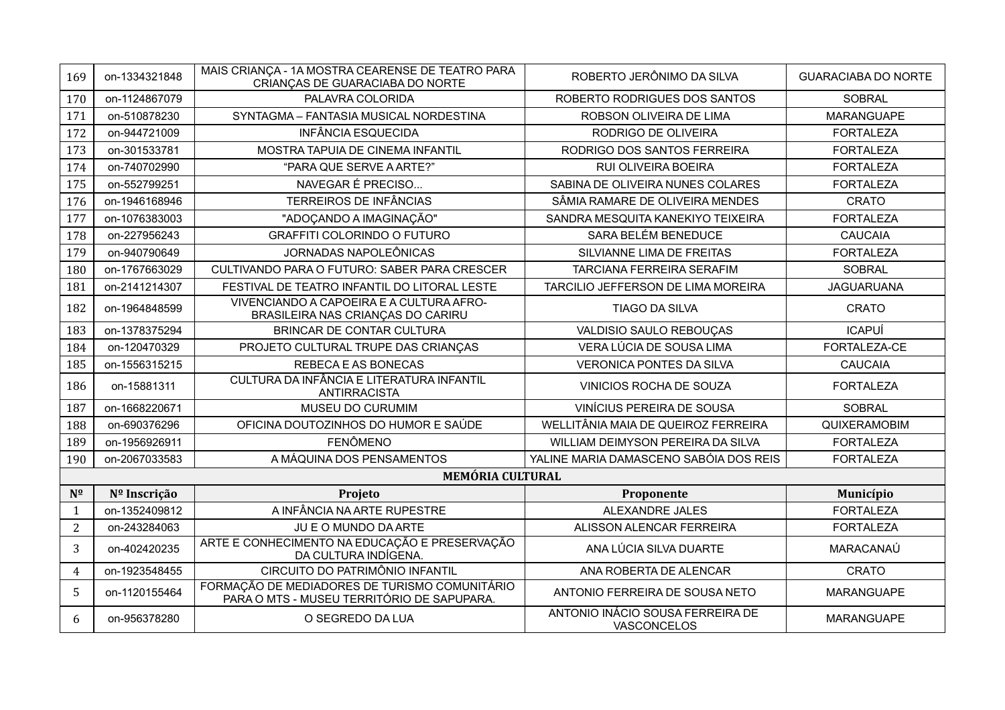| 169            | on-1334321848 | MAIS CRIANÇA - 1A MOSTRA CEARENSE DE TEATRO PARA<br>CRIANÇAS DE GUARACIABA DO NORTE         | ROBERTO JERÔNIMO DA SILVA                       | <b>GUARACIABA DO NORTE</b> |
|----------------|---------------|---------------------------------------------------------------------------------------------|-------------------------------------------------|----------------------------|
| 170            | on-1124867079 | PALAVRA COLORIDA                                                                            | ROBERTO RODRIGUES DOS SANTOS                    | <b>SOBRAL</b>              |
| 171            | on-510878230  | SYNTAGMA - FANTASIA MUSICAL NORDESTINA                                                      | ROBSON OLIVEIRA DE LIMA                         | <b>MARANGUAPE</b>          |
| 172            | on-944721009  | <b>INFÂNCIA ESQUECIDA</b>                                                                   | RODRIGO DE OLIVEIRA                             | <b>FORTALEZA</b>           |
| 173            | on-301533781  | MOSTRA TAPUIA DE CINEMA INFANTIL                                                            | RODRIGO DOS SANTOS FERREIRA                     | <b>FORTALEZA</b>           |
| 174            | on-740702990  | "PARA QUE SERVE A ARTE?"                                                                    | RUI OLIVEIRA BOEIRA                             | <b>FORTALEZA</b>           |
| 175            | on-552799251  | NAVEGAR É PRECISO                                                                           | SABINA DE OLIVEIRA NUNES COLARES                | <b>FORTALEZA</b>           |
| 176            | on-1946168946 | <b>TERREIROS DE INFÂNCIAS</b>                                                               | SÂMIA RAMARE DE OLIVEIRA MENDES                 | <b>CRATO</b>               |
| 177            | on-1076383003 | "ADOÇANDO A IMAGINAÇÃO"                                                                     | SANDRA MESQUITA KANEKIYO TEIXEIRA               | <b>FORTALEZA</b>           |
| 178            | on-227956243  | <b>GRAFFITI COLORINDO O FUTURO</b>                                                          | SARA BELÉM BENEDUCE                             | <b>CAUCAIA</b>             |
| 179            | on-940790649  | <b>JORNADAS NAPOLEÔNICAS</b>                                                                | SILVIANNE LIMA DE FREITAS                       | <b>FORTALEZA</b>           |
| 180            | on-1767663029 | CULTIVANDO PARA O FUTURO: SABER PARA CRESCER                                                | <b>TARCIANA FERREIRA SERAFIM</b>                | <b>SOBRAL</b>              |
| 181            | on-2141214307 | FESTIVAL DE TEATRO INFANTIL DO LITORAL LESTE                                                | TARCILIO JEFFERSON DE LIMA MOREIRA              | <b>JAGUARUANA</b>          |
| 182            | on-1964848599 | VIVENCIANDO A CAPOEIRA E A CULTURA AFRO-<br>BRASILEIRA NAS CRIANÇAS DO CARIRU               | <b>TIAGO DA SILVA</b>                           | <b>CRATO</b>               |
| 183            | on-1378375294 | <b>BRINCAR DE CONTAR CULTURA</b>                                                            | VALDISIO SAULO REBOUÇAS                         | <b>ICAPUÍ</b>              |
| 184            | on-120470329  | PROJETO CULTURAL TRUPE DAS CRIANÇAS                                                         | VERA LÚCIA DE SOUSA LIMA                        | FORTALEZA-CE               |
| 185            | on-1556315215 | REBECA E AS BONECAS                                                                         | <b>VERONICA PONTES DA SILVA</b>                 | <b>CAUCAIA</b>             |
| 186            | on-15881311   | CULTURA DA INFÂNCIA E LITERATURA INFANTIL<br><b>ANTIRRACISTA</b>                            | VINICIOS ROCHA DE SOUZA                         | <b>FORTALEZA</b>           |
| 187            | on-1668220671 | MUSEU DO CURUMIM                                                                            | VINÍCIUS PEREIRA DE SOUSA                       | <b>SOBRAL</b>              |
| 188            | on-690376296  | OFICINA DOUTOZINHOS DO HUMOR E SAÚDE                                                        | WELLITÂNIA MAIA DE QUEIROZ FERREIRA             | QUIXERAMOBIM               |
| 189            | on-1956926911 | <b>FENÔMENO</b>                                                                             | WILLIAM DEIMYSON PEREIRA DA SILVA               | <b>FORTALEZA</b>           |
| 190            | on-2067033583 | A MÁQUINA DOS PENSAMENTOS                                                                   | YALINE MARIA DAMASCENO SABÓIA DOS REIS          | <b>FORTALEZA</b>           |
|                |               | <b>MEMÓRIA CULTURAL</b>                                                                     |                                                 |                            |
| $N^{\Omega}$   | Nº Inscrição  | Projeto                                                                                     | Proponente                                      | Município                  |
| $\mathbf{1}$   | on-1352409812 | A INFÂNCIA NA ARTE RUPESTRE                                                                 | <b>ALEXANDRE JALES</b>                          | <b>FORTALEZA</b>           |
| $\overline{2}$ | on-243284063  | JU E O MUNDO DA ARTE                                                                        | ALISSON ALENCAR FERREIRA                        | <b>FORTALEZA</b>           |
| 3              | on-402420235  | ARTE E CONHECIMENTO NA EDUCAÇÃO E PRESERVAÇÃO<br>DA CULTURA INDÍGENA.                       | ANA LÚCIA SILVA DUARTE                          | MARACANAÚ                  |
| $\overline{4}$ | on-1923548455 | CIRCUITO DO PATRIMÔNIO INFANTIL                                                             | ANA ROBERTA DE ALENCAR                          | <b>CRATO</b>               |
| 5              | on-1120155464 | FORMAÇÃO DE MEDIADORES DE TURISMO COMUNITÁRIO<br>PARA O MTS - MUSEU TERRITÓRIO DE SAPUPARA. | ANTONIO FERREIRA DE SOUSA NETO                  | <b>MARANGUAPE</b>          |
| 6              | on-956378280  | O SEGREDO DA LUA                                                                            | ANTONIO INÁCIO SOUSA FERREIRA DE<br>VASCONCELOS | <b>MARANGUAPE</b>          |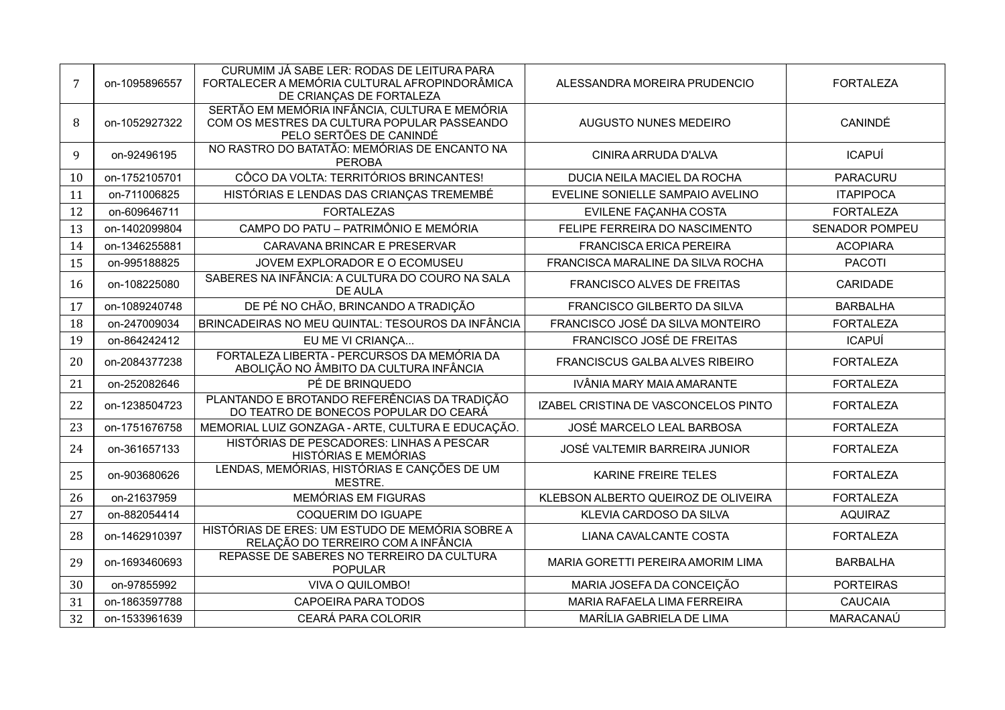| $\overline{7}$ | on-1095896557                                                     | CURUMIM JÁ SABE LER: RODAS DE LEITURA PARA<br>FORTALECER A MEMÓRIA CULTURAL AFROPINDORÂMICA<br>DE CRIANÇAS DE FORTALEZA | ALESSANDRA MOREIRA PRUDENCIO          | <b>FORTALEZA</b>      |  |
|----------------|-------------------------------------------------------------------|-------------------------------------------------------------------------------------------------------------------------|---------------------------------------|-----------------------|--|
| 8              | on-1052927322                                                     | SERTÃO EM MEMÓRIA INFÂNCIA, CULTURA E MEMÓRIA<br>COM OS MESTRES DA CULTURA POPULAR PASSEANDO<br>PELO SERTÕES DE CANINDÉ | AUGUSTO NUNES MEDEIRO                 | CANINDÉ               |  |
| 9              | on-92496195                                                       | NO RASTRO DO BATATÃO: MEMÓRIAS DE ENCANTO NA<br><b>PEROBA</b>                                                           | CINIRA ARRUDA D'ALVA                  | <b>ICAPUÍ</b>         |  |
| 10             | on-1752105701                                                     | CÔCO DA VOLTA: TERRITÓRIOS BRINCANTES!                                                                                  | DUCIA NEILA MACIEL DA ROCHA           | <b>PARACURU</b>       |  |
| 11             | on-711006825                                                      | HISTÓRIAS E LENDAS DAS CRIANÇAS TREMEMBÉ                                                                                | EVELINE SONIELLE SAMPAIO AVELINO      | <b>ITAPIPOCA</b>      |  |
| 12             | on-609646711                                                      | <b>FORTALEZAS</b>                                                                                                       | EVILENE FAÇANHA COSTA                 | <b>FORTALEZA</b>      |  |
| 13             | on-1402099804                                                     | CAMPO DO PATU - PATRIMÔNIO E MEMÓRIA                                                                                    | FELIPE FERREIRA DO NASCIMENTO         | <b>SENADOR POMPEU</b> |  |
| 14             | on-1346255881                                                     | CARAVANA BRINCAR E PRESERVAR                                                                                            | <b>FRANCISCA ERICA PEREIRA</b>        | <b>ACOPIARA</b>       |  |
| 15             | on-995188825                                                      | JOVEM EXPLORADOR E O ECOMUSEU                                                                                           | FRANCISCA MARALINE DA SILVA ROCHA     | <b>PACOTI</b>         |  |
| 16             | on-108225080                                                      | SABERES NA INFÂNCIA: A CULTURA DO COURO NA SALA<br>DE AULA                                                              | <b>FRANCISCO ALVES DE FREITAS</b>     | CARIDADE              |  |
| 17             | on-1089240748                                                     | DE PÉ NO CHÃO, BRINCANDO A TRADIÇÃO                                                                                     | FRANCISCO GILBERTO DA SILVA           | <b>BARBALHA</b>       |  |
| 18             | BRINCADEIRAS NO MEU QUINTAL: TESOUROS DA INFÂNCIA<br>on-247009034 |                                                                                                                         | FRANCISCO JOSÉ DA SILVA MONTEIRO      | <b>FORTALEZA</b>      |  |
| 19             | on-864242412<br>EU ME VI CRIANÇA                                  |                                                                                                                         | FRANCISCO JOSÉ DE FREITAS             | <b>ICAPUÍ</b>         |  |
| 20             | on-2084377238                                                     | FORTALEZA LIBERTA - PERCURSOS DA MEMÓRIA DA<br>ABOLIÇÃO NO ÂMBITO DA CULTURA INFÂNCIA                                   | <b>FRANCISCUS GALBA ALVES RIBEIRO</b> | <b>FORTALEZA</b>      |  |
| 21             | on-252082646                                                      | PÉ DE BRINQUEDO                                                                                                         | IVÂNIA MARY MAIA AMARANTE             | <b>FORTALEZA</b>      |  |
| 22             | on-1238504723                                                     | PLANTANDO E BROTANDO REFERÊNCIAS DA TRADIÇÃO<br>DO TEATRO DE BONECOS POPULAR DO CEARÁ                                   | IZABEL CRISTINA DE VASCONCELOS PINTO  | <b>FORTALEZA</b>      |  |
| 23             | on-1751676758                                                     | MEMORIAL LUIZ GONZAGA - ARTE, CULTURA E EDUCAÇÃO.                                                                       | JOSÉ MARCELO LEAL BARBOSA             | <b>FORTALEZA</b>      |  |
| 24             | on-361657133                                                      | HISTÓRIAS DE PESCADORES: LINHAS A PESCAR<br>HISTÓRIAS E MEMÓRIAS                                                        | JOSÉ VALTEMIR BARREIRA JUNIOR         | <b>FORTALEZA</b>      |  |
| 25             | on-903680626                                                      | LENDAS, MEMÓRIAS, HISTÓRIAS E CANÇÕES DE UM<br>MESTRE.                                                                  | KARINE FREIRE TELES                   | <b>FORTALEZA</b>      |  |
| 26             | on-21637959                                                       | <b>MEMÓRIAS EM FIGURAS</b>                                                                                              | KLEBSON ALBERTO QUEIROZ DE OLIVEIRA   | <b>FORTALEZA</b>      |  |
| 27             | on-882054414                                                      | COQUERIM DO IGUAPE                                                                                                      | KLEVIA CARDOSO DA SILVA               | <b>AQUIRAZ</b>        |  |
| 28             | on-1462910397                                                     | HISTÓRIAS DE ERES: UM ESTUDO DE MEMÓRIA SOBRE A<br>RELAÇÃO DO TERREIRO COM A INFÂNCIA                                   | LIANA CAVALCANTE COSTA                | <b>FORTALEZA</b>      |  |
| 29             | on-1693460693                                                     | REPASSE DE SABERES NO TERREIRO DA CULTURA<br><b>POPULAR</b>                                                             | MARIA GORETTI PEREIRA AMORIM LIMA     | <b>BARBALHA</b>       |  |
| 30             | on-97855992                                                       | VIVA O QUILOMBO!                                                                                                        | MARIA JOSEFA DA CONCEIÇÃO             | <b>PORTEIRAS</b>      |  |
| 31             | on-1863597788                                                     | CAPOEIRA PARA TODOS                                                                                                     | MARIA RAFAELA LIMA FERREIRA           | <b>CAUCAIA</b>        |  |
| 32             | on-1533961639                                                     | CEARÁ PARA COLORIR                                                                                                      | MARÍLIA GABRIELA DE LIMA<br>MARACANAÚ |                       |  |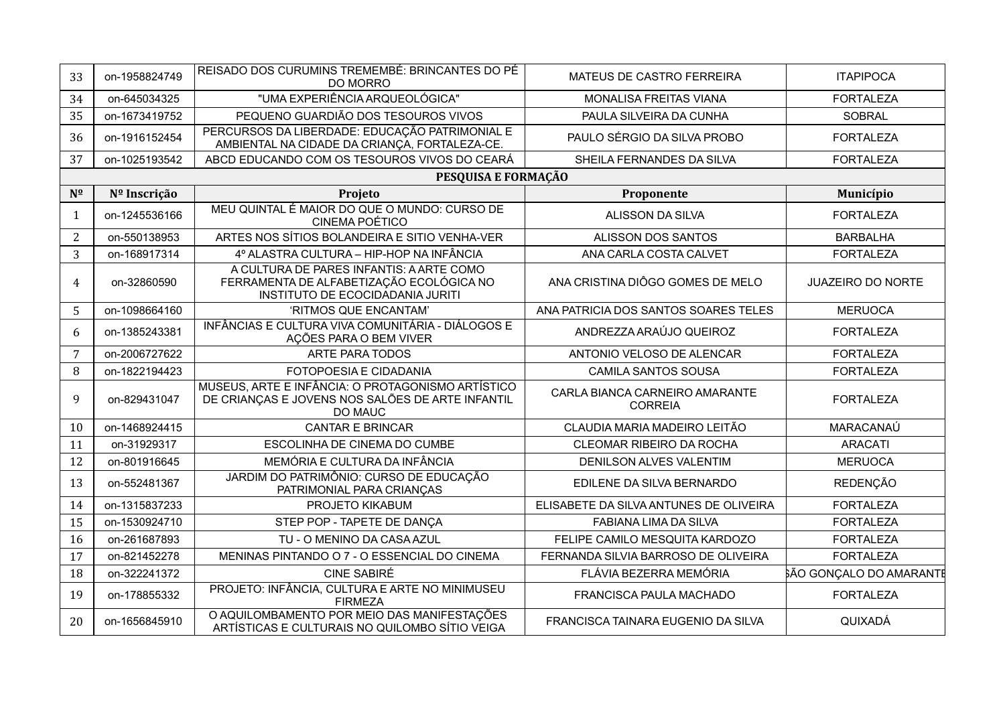| 33             | on-1958824749 | REISADO DOS CURUMINS TREMEMBÉ: BRINCANTES DO PÉ<br><b>DO MORRO</b>                                                       | MATEUS DE CASTRO FERREIRA                        | <b>ITAPIPOCA</b>               |
|----------------|---------------|--------------------------------------------------------------------------------------------------------------------------|--------------------------------------------------|--------------------------------|
| 34             | on-645034325  | "UMA EXPERIÊNCIA ARQUEOLÓGICA"                                                                                           | MONALISA FREITAS VIANA                           | <b>FORTALEZA</b>               |
| 35             | on-1673419752 | PEQUENO GUARDIÃO DOS TESOUROS VIVOS                                                                                      | PAULA SILVEIRA DA CUNHA                          | <b>SOBRAL</b>                  |
| 36             | on-1916152454 | PERCURSOS DA LIBERDADE: EDUCAÇÃO PATRIMONIAL E<br>AMBIENTAL NA CIDADE DA CRIANÇA, FORTALEZA-CE.                          | PAULO SÉRGIO DA SILVA PROBO                      | <b>FORTALEZA</b>               |
| 37             | on-1025193542 | ABCD EDUCANDO COM OS TESOUROS VIVOS DO CEARÁ                                                                             | SHEILA FERNANDES DA SILVA                        | <b>FORTALEZA</b>               |
|                |               | PESQUISA E FORMAÇÃO                                                                                                      |                                                  |                                |
| $N^{\Omega}$   | Nº Inscrição  | Projeto                                                                                                                  | Proponente                                       | Município                      |
| $\mathbf{1}$   | on-1245536166 | MEU QUINTAL É MAIOR DO QUE O MUNDO: CURSO DE<br><b>CINEMA POÉTICO</b>                                                    | <b>ALISSON DA SILVA</b>                          | <b>FORTALEZA</b>               |
| $\overline{2}$ | on-550138953  | ARTES NOS SÍTIOS BOLANDEIRA E SITIO VENHA-VER                                                                            | ALISSON DOS SANTOS                               | <b>BARBALHA</b>                |
| 3              | on-168917314  | 4º ALASTRA CULTURA - HIP-HOP NA INFÂNCIA                                                                                 | ANA CARLA COSTA CALVET                           | <b>FORTALEZA</b>               |
| 4              | on-32860590   | A CULTURA DE PARES INFANTIS: A ARTE COMO<br>FERRAMENTA DE ALFABETIZAÇÃO ECOLÓGICA NO<br>INSTITUTO DE ECOCIDADANIA JURITI | ANA CRISTINA DIÔGO GOMES DE MELO                 | <b>JUAZEIRO DO NORTE</b>       |
| 5              | on-1098664160 | 'RITMOS QUE ENCANTAM'                                                                                                    | ANA PATRICIA DOS SANTOS SOARES TELES             | <b>MERUOCA</b>                 |
| 6              | on-1385243381 | INFÂNCIAS E CULTURA VIVA COMUNITÁRIA - DIÁLOGOS E<br>AÇÕES PARA O BEM VIVER                                              | ANDREZZA ARAÚJO QUEIROZ                          | <b>FORTALEZA</b>               |
| 7              | on-2006727622 | <b>ARTE PARA TODOS</b>                                                                                                   | ANTONIO VELOSO DE ALENCAR                        | <b>FORTALEZA</b>               |
| 8              | on-1822194423 | FOTOPOESIA E CIDADANIA                                                                                                   | <b>CAMILA SANTOS SOUSA</b>                       | <b>FORTALEZA</b>               |
| 9              | on-829431047  | MUSEUS, ARTE E INFÂNCIA: O PROTAGONISMO ARTÍSTICO<br>DE CRIANÇAS E JOVENS NOS SALÕES DE ARTE INFANTIL<br>DO MAUC         | CARLA BIANCA CARNEIRO AMARANTE<br><b>CORREIA</b> | <b>FORTALEZA</b>               |
| 10             | on-1468924415 | <b>CANTAR E BRINCAR</b>                                                                                                  | CLAUDIA MARIA MADEIRO LEITÃO                     | MARACANAÚ                      |
| 11             | on-31929317   | ESCOLINHA DE CINEMA DO CUMBE                                                                                             | CLEOMAR RIBEIRO DA ROCHA                         | <b>ARACATI</b>                 |
| 12             | on-801916645  | MEMÓRIA E CULTURA DA INFÂNCIA                                                                                            | DENILSON ALVES VALENTIM                          | <b>MERUOCA</b>                 |
| 13             | on-552481367  | JARDIM DO PATRIMÔNIO: CURSO DE EDUCAÇÃO<br>PATRIMONIAL PARA CRIANÇAS                                                     | EDILENE DA SILVA BERNARDO                        | <b>REDENÇÃO</b>                |
| 14             | on-1315837233 | PROJETO KIKABUM                                                                                                          | ELISABETE DA SILVA ANTUNES DE OLIVEIRA           | <b>FORTALEZA</b>               |
| 15             | on-1530924710 | STEP POP - TAPETE DE DANÇA                                                                                               | FABIANA LIMA DA SILVA                            | <b>FORTALEZA</b>               |
| 16             | on-261687893  | TU - O MENINO DA CASA AZUL                                                                                               | FELIPE CAMILO MESQUITA KARDOZO                   | <b>FORTALEZA</b>               |
| 17             | on-821452278  | MENINAS PINTANDO O 7 - O ESSENCIAL DO CINEMA                                                                             | FERNANDA SILVIA BARROSO DE OLIVEIRA              | <b>FORTALEZA</b>               |
| 18             | on-322241372  | <b>CINE SABIRÉ</b>                                                                                                       | FLÁVIA BEZERRA MEMÓRIA                           | <b>SÃO GONÇALO DO AMARANTE</b> |
| 19             | on-178855332  | PROJETO: INFÂNCIA, CULTURA E ARTE NO MINIMUSEU<br><b>FIRMEZA</b>                                                         | FRANCISCA PAULA MACHADO                          | <b>FORTALEZA</b>               |
| 20             | on-1656845910 | O AQUILOMBAMENTO POR MEIO DAS MANIFESTAÇÕES<br>ARTÍSTICAS E CULTURAIS NO QUILOMBO SÍTIO VEIGA                            | FRANCISCA TAINARA EUGENIO DA SILVA               | QUIXADÁ                        |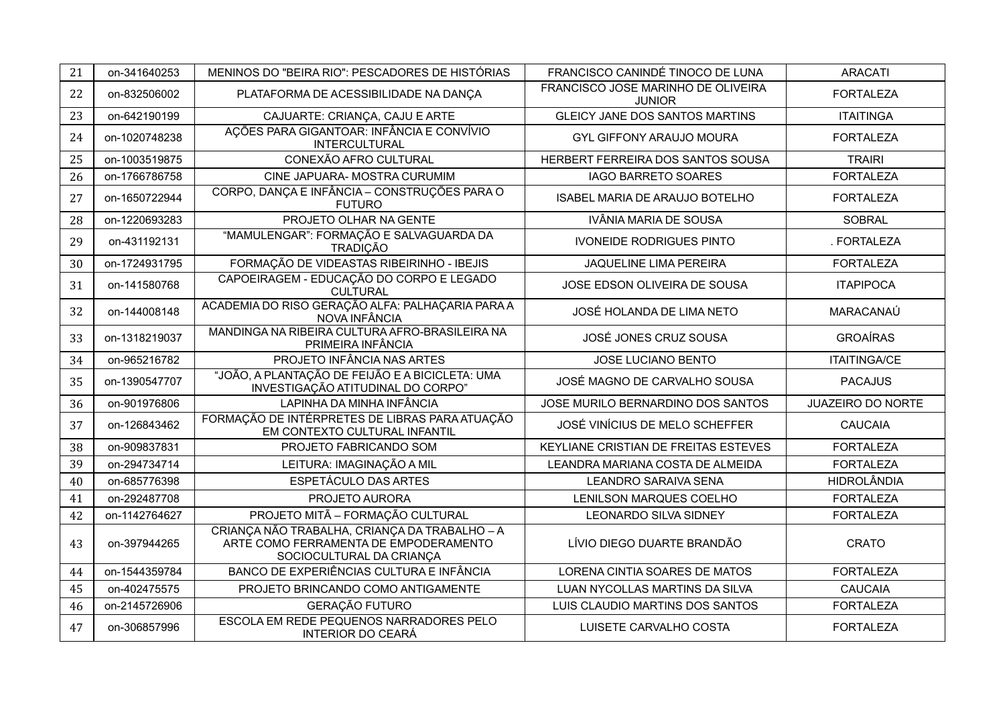| 21 | on-341640253  | MENINOS DO "BEIRA RIO": PESCADORES DE HISTÓRIAS                                                                    | FRANCISCO CANINDÉ TINOCO DE LUNA                    | <b>ARACATI</b>           |
|----|---------------|--------------------------------------------------------------------------------------------------------------------|-----------------------------------------------------|--------------------------|
| 22 | on-832506002  | PLATAFORMA DE ACESSIBILIDADE NA DANÇA                                                                              | FRANCISCO JOSE MARINHO DE OLIVEIRA<br><b>JUNIOR</b> | <b>FORTALEZA</b>         |
| 23 | on-642190199  | CAJUARTE: CRIANÇA, CAJU E ARTE                                                                                     | GLEICY JANE DOS SANTOS MARTINS                      | <b>ITAITINGA</b>         |
| 24 | on-1020748238 | AÇÕES PARA GIGANTOAR: INFÂNCIA E CONVÍVIO<br><b>INTERCULTURAL</b>                                                  | <b>GYL GIFFONY ARAUJO MOURA</b>                     | <b>FORTALEZA</b>         |
| 25 | on-1003519875 | CONEXÃO AFRO CULTURAL                                                                                              | HERBERT FERREIRA DOS SANTOS SOUSA                   | <b>TRAIRI</b>            |
| 26 | on-1766786758 | CINE JAPUARA- MOSTRA CURUMIM                                                                                       | <b>IAGO BARRETO SOARES</b>                          | <b>FORTALEZA</b>         |
| 27 | on-1650722944 | CORPO, DANÇA E INFÂNCIA - CONSTRUÇÕES PARA O<br><b>FUTURO</b>                                                      | ISABEL MARIA DE ARAUJO BOTELHO                      | <b>FORTALEZA</b>         |
| 28 | on-1220693283 | PROJETO OLHAR NA GENTE                                                                                             | IVÂNIA MARIA DE SOUSA                               | <b>SOBRAL</b>            |
| 29 | on-431192131  | "MAMULENGAR": FORMAÇÃO E SALVAGUARDA DA<br><b>TRADIÇÃO</b>                                                         | <b>IVONEIDE RODRIGUES PINTO</b>                     | . FORTALEZA              |
| 30 | on-1724931795 | FORMAÇÃO DE VIDEASTAS RIBEIRINHO - IBEJIS                                                                          | JAQUELINE LIMA PEREIRA                              | <b>FORTALEZA</b>         |
| 31 | on-141580768  | CAPOEIRAGEM - EDUCAÇÃO DO CORPO E LEGADO<br><b>CULTURAL</b>                                                        | JOSE EDSON OLIVEIRA DE SOUSA                        | <b>ITAPIPOCA</b>         |
| 32 | on-144008148  | ACADEMIA DO RISO GERAÇÃO ALFA: PALHAÇARIA PARA A<br>NOVA INFÂNCIA                                                  | JOSÉ HOLANDA DE LIMA NETO                           | MARACANAÚ                |
| 33 | on-1318219037 | MANDINGA NA RIBEIRA CULTURA AFRO-BRASILEIRA NA<br>PRIMEIRA INFÂNCIA                                                | JOSÉ JONES CRUZ SOUSA                               | <b>GROAÍRAS</b>          |
| 34 | on-965216782  | PROJETO INFÂNCIA NAS ARTES                                                                                         | JOSE LUCIANO BENTO                                  | <b>ITAITINGA/CE</b>      |
| 35 | on-1390547707 | "JOÃO, A PLANTAÇÃO DE FEIJÃO E A BICICLETA: UMA<br>INVESTIGAÇÃO ATITUDINAL DO CORPO"                               | JOSÉ MAGNO DE CARVALHO SOUSA                        | <b>PACAJUS</b>           |
| 36 | on-901976806  | LAPINHA DA MINHA INFÂNCIA                                                                                          | JOSE MURILO BERNARDINO DOS SANTOS                   | <b>JUAZEIRO DO NORTE</b> |
| 37 | on-126843462  | FORMAÇÃO DE INTÉRPRETES DE LIBRAS PARA ATUAÇÃO<br>EM CONTEXTO CULTURAL INFANTIL                                    | JOSÉ VINÍCIUS DE MELO SCHEFFER                      | <b>CAUCAIA</b>           |
| 38 | on-909837831  | PROJETO FABRICANDO SOM                                                                                             | KEYLIANE CRISTIAN DE FREITAS ESTEVES                | <b>FORTALEZA</b>         |
| 39 | on-294734714  | LEITURA: IMAGINAÇÃO A MIL                                                                                          | LEANDRA MARIANA COSTA DE ALMEIDA                    | <b>FORTALEZA</b>         |
| 40 | on-685776398  | ESPETÁCULO DAS ARTES                                                                                               | <b>LEANDRO SARAIVA SENA</b>                         | <b>HIDROLÂNDIA</b>       |
| 41 | on-292487708  | PROJETO AURORA                                                                                                     | LENILSON MARQUES COELHO                             | <b>FORTALEZA</b>         |
| 42 | on-1142764627 | PROJETO MITÃ - FORMAÇÃO CULTURAL                                                                                   | <b>LEONARDO SILVA SIDNEY</b>                        | <b>FORTALEZA</b>         |
| 43 | on-397944265  | CRIANÇA NÃO TRABALHA, CRIANÇA DA TRABALHO - A<br>ARTÉ COMO FERRAMENTA DE ÉMPODERAMENTO<br>SOCIOCULTURAL DA CRIANÇA | LÍVIO DIEGO DUARTE BRANDÃO                          | CRATO                    |
| 44 | on-1544359784 | BANCO DE EXPERIÊNCIAS CULTURA E INFÂNCIA                                                                           | LORENA CINTIA SOARES DE MATOS                       | <b>FORTALEZA</b>         |
| 45 | on-402475575  | PROJETO BRINCANDO COMO ANTIGAMENTE                                                                                 | LUAN NYCOLLAS MARTINS DA SILVA                      | <b>CAUCAIA</b>           |
| 46 | on-2145726906 | GERAÇÃO FUTURO                                                                                                     | LUIS CLAUDIO MARTINS DOS SANTOS                     | <b>FORTALEZA</b>         |
| 47 | on-306857996  | ESCOLA EM REDE PEQUENOS NARRADORES PELO<br><b>INTERIOR DO CEARÁ</b>                                                | LUISETE CARVALHO COSTA                              | <b>FORTALEZA</b>         |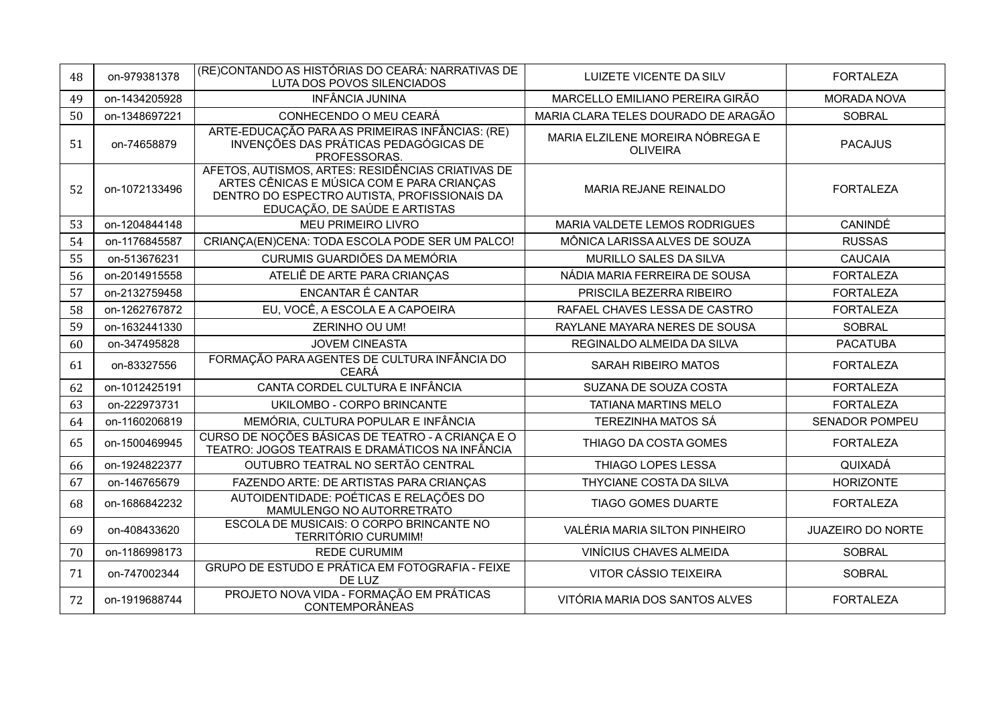| 48 | on-979381378  | (RE)CONTANDO AS HISTÓRIAS DO CEARÁ: NARRATIVAS DE<br>LUTA DOS POVOS SILENCIADOS                                                                                                  | <b>LUIZETE VICENTE DA SILV</b>                      | <b>FORTALEZA</b>         |
|----|---------------|----------------------------------------------------------------------------------------------------------------------------------------------------------------------------------|-----------------------------------------------------|--------------------------|
| 49 | on-1434205928 | <b>INFÂNCIA JUNINA</b>                                                                                                                                                           | MARCELLO EMILIANO PEREIRA GIRÃO                     | <b>MORADA NOVA</b>       |
| 50 | on-1348697221 | CONHECENDO O MEU CEARÁ                                                                                                                                                           | MARIA CLARA TELES DOURADO DE ARAGÃO                 | <b>SOBRAL</b>            |
| 51 | on-74658879   | ARTE-EDUCAÇÃO PARA AS PRIMEIRAS INFÂNCIAS: (RE)<br>INVENÇÕES DAS PRÁTICAS PEDAGÓGICAS DE<br>PROFESSORAS.                                                                         | MARIA ELZILENE MOREIRA NÓBREGA E<br><b>OLIVEIRA</b> | <b>PACAJUS</b>           |
| 52 | on-1072133496 | AFETOS, AUTISMOS, ARTES: RESIDÊNCIAS CRIATIVAS DE<br>ARTES CÊNICAS E MÚSICA COM E PARA CRIANÇAS<br>DENTRO DO ESPECTRO AUTISTA, PROFISSIONAIS DA<br>EDUCAÇÃO, DE SAÚDE E ARTISTAS | MARIA REJANE REINALDO                               | <b>FORTALEZA</b>         |
| 53 | on-1204844148 | MEU PRIMEIRO LIVRO                                                                                                                                                               | MARIA VALDETE LEMOS RODRIGUES                       | <b>CANINDÉ</b>           |
| 54 | on-1176845587 | CRIANÇA(EN)CENA: TODA ESCOLA PODE SER UM PALCO!                                                                                                                                  | MÔNICA LARISSA ALVES DE SOUZA                       | <b>RUSSAS</b>            |
| 55 | on-513676231  | CURUMIS GUARDIÕES DA MEMÓRIA                                                                                                                                                     | MURILLO SALES DA SILVA                              | <b>CAUCAIA</b>           |
| 56 | on-2014915558 | ATELIÊ DE ARTE PARA CRIANÇAS                                                                                                                                                     | NÁDIA MARIA FERREIRA DE SOUSA                       | <b>FORTALEZA</b>         |
| 57 | on-2132759458 | ENCANTAR É CANTAR                                                                                                                                                                | PRISCILA BEZERRA RIBEIRO                            | <b>FORTALEZA</b>         |
| 58 | on-1262767872 | EU, VOCÊ, A ESCOLA E A CAPOEIRA                                                                                                                                                  | RAFAEL CHAVES LESSA DE CASTRO                       | <b>FORTALEZA</b>         |
| 59 | on-1632441330 | ZERINHO OU UM!                                                                                                                                                                   | RAYLANE MAYARA NERES DE SOUSA                       | <b>SOBRAL</b>            |
| 60 | on-347495828  | <b>JOVEM CINEASTA</b>                                                                                                                                                            | REGINALDO ALMEIDA DA SILVA                          | <b>PACATUBA</b>          |
| 61 | on-83327556   | FORMAÇÃO PARA AGENTES DE CULTURA INFÂNCIA DO<br><b>CEARÁ</b>                                                                                                                     | <b>SARAH RIBEIRO MATOS</b>                          | <b>FORTALEZA</b>         |
| 62 | on-1012425191 | CANTA CORDEL CULTURA E INFÂNCIA                                                                                                                                                  | SUZANA DE SOUZA COSTA                               | <b>FORTALEZA</b>         |
| 63 | on-222973731  | UKILOMBO - CORPO BRINCANTE                                                                                                                                                       | <b>TATIANA MARTINS MELO</b>                         | <b>FORTALEZA</b>         |
| 64 | on-1160206819 | MEMÓRIA, CULTURA POPULAR E INFÂNCIA                                                                                                                                              | <b>TEREZINHA MATOS SÁ</b>                           | <b>SENADOR POMPEU</b>    |
| 65 | on-1500469945 | CURSO DE NOÇÕES BÁSICAS DE TEATRO - A CRIANÇA E O<br>TEATRO: JOGOS TEATRAIS E DRAMÁTICOS NA INFÁNCIA                                                                             | THIAGO DA COSTA GOMES                               | <b>FORTALEZA</b>         |
| 66 | on-1924822377 | OUTUBRO TEATRAL NO SERTÃO CENTRAL                                                                                                                                                | THIAGO LOPES LESSA                                  | QUIXADÁ                  |
| 67 | on-146765679  | FAZENDO ARTE: DE ARTISTAS PARA CRIANÇAS                                                                                                                                          | THYCIANE COSTA DA SILVA                             | <b>HORIZONTE</b>         |
| 68 | on-1686842232 | AUTOIDENTIDADE: POÉTICAS E RELAÇÕES DO<br>MAMULENGO NO AUTORRETRATO                                                                                                              | <b>TIAGO GOMES DUARTE</b>                           | <b>FORTALEZA</b>         |
| 69 | on-408433620  | <b>ESCOLA DE MUSICAIS: O CORPO BRINCANTE NO</b><br><b>TERRITÓRIO CURUMIM!</b>                                                                                                    | VALÉRIA MARIA SILTON PINHEIRO                       | <b>JUAZEIRO DO NORTE</b> |
| 70 | on-1186998173 | <b>REDE CURUMIM</b>                                                                                                                                                              | <b>VINÍCIUS CHAVES ALMEIDA</b>                      | <b>SOBRAL</b>            |
| 71 | on-747002344  | GRUPO DE ESTUDO E PRÁTICA EM FOTOGRAFIA - FEIXE<br>DE LUZ                                                                                                                        | VITOR CÁSSIO TEIXEIRA                               | <b>SOBRAL</b>            |
| 72 | on-1919688744 | PROJETO NOVA VIDA - FORMAÇÃO EM PRÁTICAS<br><b>CONTEMPORÂNEAS</b>                                                                                                                | VITÓRIA MARIA DOS SANTOS ALVES                      | <b>FORTALEZA</b>         |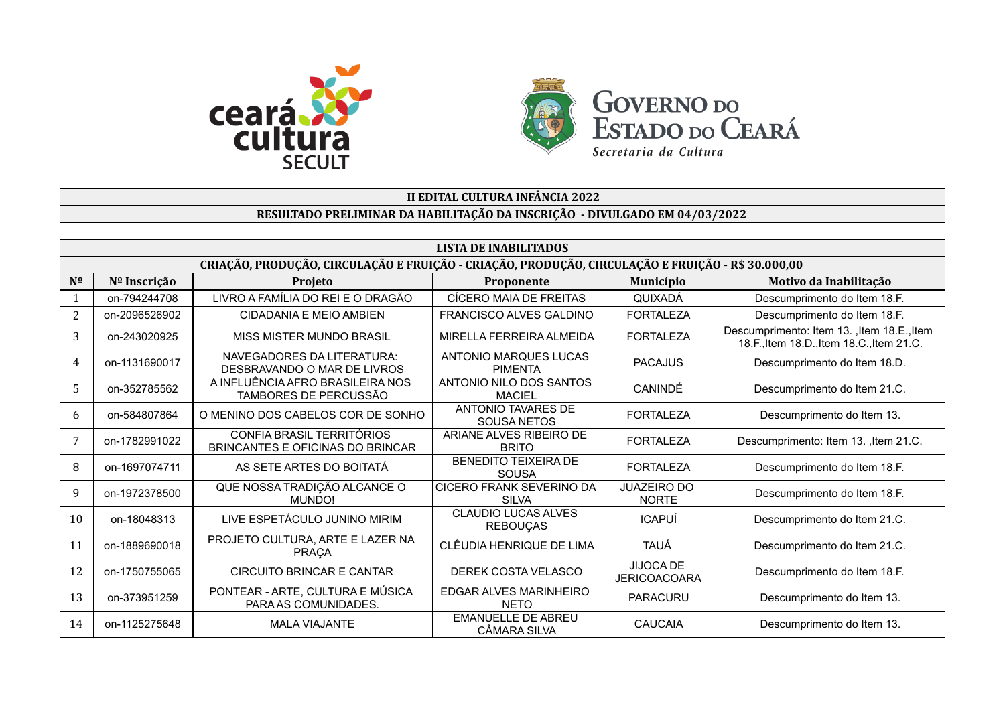



## **II EDITAL CULTURA INFÂNCIA 2022 RESULTADO PRELIMINAR DA HABILITAÇÃO DA INSCRIÇÃO - DIVULGADO EM 04/03/2022**

| LISTA DE INABILITADOS |                                                                                                   |                                                               |                                                 |                                    |                                                                                          |  |  |  |
|-----------------------|---------------------------------------------------------------------------------------------------|---------------------------------------------------------------|-------------------------------------------------|------------------------------------|------------------------------------------------------------------------------------------|--|--|--|
|                       | CRIAÇÃO, PRODUÇÃO, CIRCULAÇÃO E FRUIÇÃO - CRIAÇÃO, PRODUÇÃO, CIRCULAÇÃO E FRUIÇÃO - R\$ 30.000,00 |                                                               |                                                 |                                    |                                                                                          |  |  |  |
| $N^{\Omega}$          | Nº Inscrição                                                                                      | Projeto                                                       | Proponente                                      | <b>Município</b>                   | Motivo da Inabilitação                                                                   |  |  |  |
|                       | on-794244708                                                                                      | LIVRO A FAMÍLIA DO REI E O DRAGÃO                             | CÍCERO MAIA DE FREITAS                          | QUIXADÁ                            | Descumprimento do Item 18.F.                                                             |  |  |  |
| 2                     | on-2096526902                                                                                     | CIDADANIA E MEIO AMBIEN                                       | FRANCISCO ALVES GALDINO                         | <b>FORTALEZA</b>                   | Descumprimento do Item 18.F.                                                             |  |  |  |
| 3                     | on-243020925                                                                                      | MISS MISTER MUNDO BRASIL                                      | MIRELLA FERREIRA ALMEIDA                        | <b>FORTALEZA</b>                   | Descumprimento: Item 13. , Item 18.E., Item<br>18.F., Item 18.D., Item 18.C., Item 21.C. |  |  |  |
| 4                     | on-1131690017                                                                                     | NAVEGADORES DA LITERATURA:<br>DESBRAVANDO O MAR DE LIVROS     | ANTONIO MARQUES LUCAS<br><b>PIMENTA</b>         | <b>PACAJUS</b>                     | Descumprimento do Item 18.D.                                                             |  |  |  |
| 5                     | on-352785562                                                                                      | A INFLUÊNCIA AFRO BRASILEIRA NOS<br>TAMBORES DE PERCUSSÃO     | ANTONIO NILO DOS SANTOS<br><b>MACIEL</b>        | CANINDÉ                            | Descumprimento do Item 21.C.                                                             |  |  |  |
| 6                     | on-584807864                                                                                      | O MENINO DOS CABELOS COR DE SONHO                             | <b>ANTONIO TAVARES DE</b><br>SOUSA NETOS        | <b>FORTALEZA</b>                   | Descumprimento do Item 13.                                                               |  |  |  |
| 7                     | on-1782991022                                                                                     | CONFIA BRASIL TERRITÓRIOS<br>BRINCANTES E OFICINAS DO BRINCAR | ARIANE ALVES RIBEIRO DE<br><b>BRITO</b>         | <b>FORTALEZA</b>                   | Descumprimento: Item 13. , Item 21.C.                                                    |  |  |  |
| 8                     | on-1697074711                                                                                     | AS SETE ARTES DO BOITATÁ                                      | <b>BENEDITO TEIXEIRA DE</b><br>SOUSA            | <b>FORTALEZA</b>                   | Descumprimento do Item 18.F.                                                             |  |  |  |
| 9                     | on-1972378500                                                                                     | QUE NOSSA TRADIÇÃO ALCANCE O<br>MUNDO!                        | <b>CICERO FRANK SEVERINO DA</b><br><b>SILVA</b> | <b>JUAZEIRO DO</b><br><b>NORTE</b> | Descumprimento do Item 18.F.                                                             |  |  |  |
| 10                    | on-18048313                                                                                       | LIVE ESPETÁCULO JUNINO MIRIM                                  | <b>CLAUDIO LUCAS ALVES</b><br><b>REBOUCAS</b>   | <b>ICAPUÍ</b>                      | Descumprimento do Item 21.C.                                                             |  |  |  |
| 11                    | on-1889690018                                                                                     | PROJETO CULTURA, ARTE E LAZER NA<br><b>PRACA</b>              | CLÊUDIA HENRIQUE DE LIMA                        | <b>TAUÁ</b>                        | Descumprimento do Item 21.C.                                                             |  |  |  |
| 12                    | on-1750755065                                                                                     | <b>CIRCUITO BRINCAR E CANTAR</b>                              | DEREK COSTA VELASCO                             | JIJOCA DE<br><b>JERICOACOARA</b>   | Descumprimento do Item 18.F.                                                             |  |  |  |
| 13                    | on-373951259                                                                                      | PONTEAR - ARTE, CULTURA E MÚSICA<br>PARA AS COMUNIDADES.      | EDGAR ALVES MARINHEIRO<br><b>NETO</b>           | <b>PARACURU</b>                    | Descumprimento do Item 13.                                                               |  |  |  |
| 14                    | on-1125275648                                                                                     | <b>MALA VIAJANTE</b>                                          | <b>EMANUELLE DE ABREU</b><br>CÂMARA SILVA       | CAUCAIA                            | Descumprimento do Item 13.                                                               |  |  |  |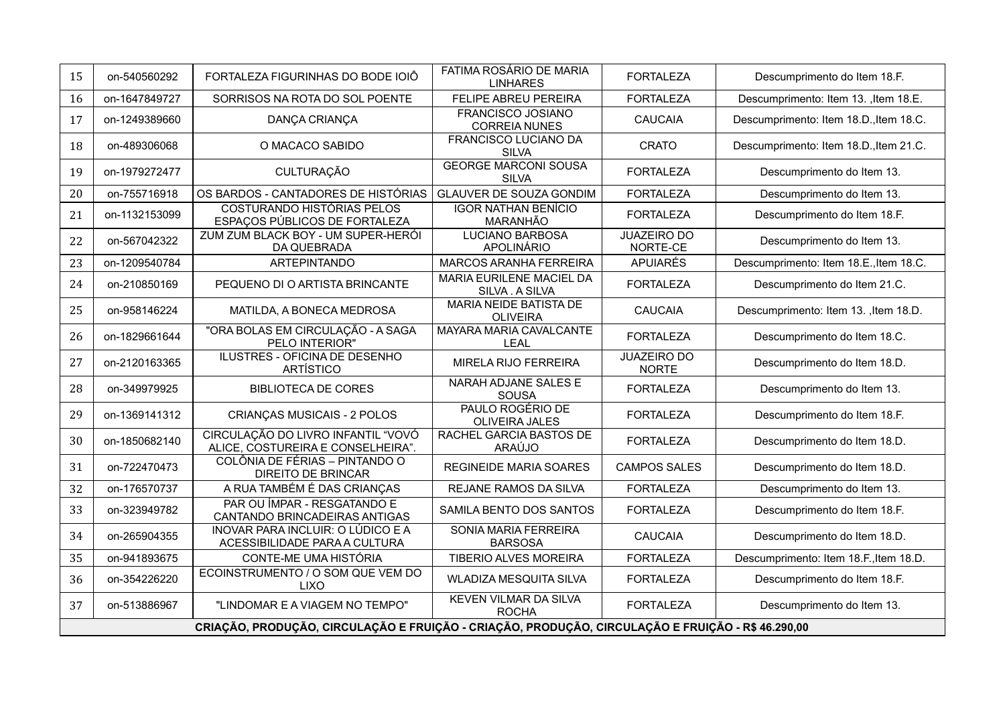| 15 | on-540560292                                                                                      | FORTALEZA FIGURINHAS DO BODE IOIÔ                                         | FATIMA ROSÁRIO DE MARIA<br><b>LINHARES</b>         | <b>FORTALEZA</b>                   | Descumprimento do Item 18.F.           |  |
|----|---------------------------------------------------------------------------------------------------|---------------------------------------------------------------------------|----------------------------------------------------|------------------------------------|----------------------------------------|--|
| 16 | on-1647849727                                                                                     | SORRISOS NA ROTA DO SOL POENTE                                            | <b>FELIPE ABREU PEREIRA</b>                        | <b>FORTALEZA</b>                   | Descumprimento: Item 13. , Item 18.E.  |  |
| 17 | on-1249389660                                                                                     | DANÇA CRIANÇA                                                             | <b>FRANCISCO JOSIANO</b><br><b>CORREIA NUNES</b>   | <b>CAUCAIA</b>                     | Descumprimento: Item 18.D., Item 18.C. |  |
| 18 | on-489306068                                                                                      | O MACACO SABIDO                                                           | <b>FRANCISCO LUCIANO DA</b><br><b>SILVA</b>        | <b>CRATO</b>                       | Descumprimento: Item 18.D., Item 21.C. |  |
| 19 | on-1979272477                                                                                     | <b>CULTURAÇÃO</b>                                                         | <b>GEORGE MARCONI SOUSA</b><br><b>SILVA</b>        | <b>FORTALEZA</b>                   | Descumprimento do Item 13.             |  |
| 20 | on-755716918                                                                                      | OS BARDOS - CANTADORES DE HISTÓRIAS                                       | <b>GLAUVER DE SOUZA GONDIM</b>                     | <b>FORTALEZA</b>                   | Descumprimento do Item 13.             |  |
| 21 | on-1132153099                                                                                     | <b>COSTURANDO HISTÓRIAS PELOS</b><br>ESPAÇOS PÚBLICOS DE FORTALEZA        | <b>IGOR NATHAN BENÍCIO</b><br>MARANHÃO             | <b>FORTALEZA</b>                   | Descumprimento do Item 18.F.           |  |
| 22 | on-567042322                                                                                      | ZUM ZUM BLACK BOY - UM SUPER-HERÓI<br>DA QUEBRADA                         | <b>LUCIANO BARBOSA</b><br>APOLINÁRIO               | <b>JUAZEIRO DO</b><br>NORTE-CE     | Descumprimento do Item 13.             |  |
| 23 | on-1209540784                                                                                     | <b>ARTEPINTANDO</b>                                                       | <b>MARCOS ARANHA FERREIRA</b>                      | <b>APUIARÉS</b>                    | Descumprimento: Item 18.E., Item 18.C. |  |
| 24 | on-210850169                                                                                      | PEQUENO DI O ARTISTA BRINCANTE                                            | <b>MARIA EURILENE MACIEL DA</b><br>SILVA . A SILVA | <b>FORTALEZA</b>                   | Descumprimento do Item 21.C.           |  |
| 25 | on-958146224                                                                                      | MATILDA, A BONECA MEDROSA                                                 | <b>MARIA NEIDE BATISTA DE</b><br><b>OLIVEIRA</b>   | <b>CAUCAIA</b>                     | Descumprimento: Item 13. , Item 18.D.  |  |
| 26 | on-1829661644                                                                                     | "ORA BOLAS EM CIRCULAÇÃO - A SAGA<br>PELO INTERIOR"                       | MAYARA MARIA CAVALCANTE<br><b>LEAL</b>             | <b>FORTALEZA</b>                   | Descumprimento do Item 18.C.           |  |
| 27 | on-2120163365                                                                                     | ILUSTRES - OFICINA DE DESENHO<br><b>ARTÍSTICO</b>                         | MIRELA RIJO FERREIRA                               | <b>JUAZEIRO DO</b><br><b>NORTE</b> | Descumprimento do Item 18.D.           |  |
| 28 | on-349979925                                                                                      | <b>BIBLIOTECA DE CORES</b>                                                | <b>NARAH ADJANE SALES E</b><br><b>SOUSA</b>        | <b>FORTALEZA</b>                   | Descumprimento do Item 13.             |  |
| 29 | on-1369141312                                                                                     | <b>CRIANÇAS MUSICAIS - 2 POLOS</b>                                        | <b>PAULO ROGÉRIO DE</b><br>OLIVEIRA JALES          | <b>FORTALEZA</b>                   | Descumprimento do Item 18.F.           |  |
| 30 | on-1850682140                                                                                     | CIRCULAÇÃO DO LIVRO INFANTIL "VOVÓ<br>ALICE, COSTUREIRA E CONSELHEIRA".   | RACHEL GARCIA BASTOS DE<br>ARAÚJO                  | <b>FORTALEZA</b>                   | Descumprimento do Item 18.D.           |  |
| 31 | on-722470473                                                                                      | COLÔNIA DE FÉRIAS - PINTANDO O<br><b>DIREITO DE BRINCAR</b>               | <b>REGINEIDE MARIA SOARES</b>                      | <b>CAMPOS SALES</b>                | Descumprimento do Item 18.D.           |  |
| 32 | on-176570737                                                                                      | A RUA TAMBÉM É DAS CRIANÇAS                                               | REJANE RAMOS DA SILVA                              | <b>FORTALEZA</b>                   | Descumprimento do Item 13.             |  |
| 33 | on-323949782                                                                                      | PAR OU ÍMPAR - RESGATANDO E<br>CANTANDO BRINCADEIRAS ANTIGAS              | SAMILA BENTO DOS SANTOS                            | <b>FORTALEZA</b>                   | Descumprimento do Item 18.F.           |  |
| 34 | on-265904355                                                                                      | <b>INOVAR PARA INCLUIR: O LÚDICO E A</b><br>ACESSIBILIDADE PARA A CULTURA | SONIA MARIA FERREIRA<br><b>BARSOSA</b>             | <b>CAUCAIA</b>                     | Descumprimento do Item 18.D.           |  |
| 35 | on-941893675                                                                                      | CONTE-ME UMA HISTÓRIA                                                     | <b>TIBERIO ALVES MOREIRA</b>                       | <b>FORTALEZA</b>                   | Descumprimento: Item 18.F., Item 18.D. |  |
| 36 | on-354226220                                                                                      | ECOINSTRUMENTO / O SOM QUE VEM DO<br><b>LIXO</b>                          | WLADIZA MESQUITA SILVA                             | <b>FORTALEZA</b>                   | Descumprimento do Item 18.F.           |  |
| 37 | on-513886967                                                                                      | "LINDOMAR E A VIAGEM NO TEMPO"                                            | <b>KEVEN VILMAR DA SILVA</b><br><b>ROCHA</b>       | <b>FORTALEZA</b>                   | Descumprimento do Item 13.             |  |
|    | CRIAÇÃO, PRODUÇÃO, CIRCULAÇÃO E FRUIÇÃO - CRIAÇÃO, PRODUÇÃO, CIRCULAÇÃO E FRUIÇÃO - R\$ 46.290,00 |                                                                           |                                                    |                                    |                                        |  |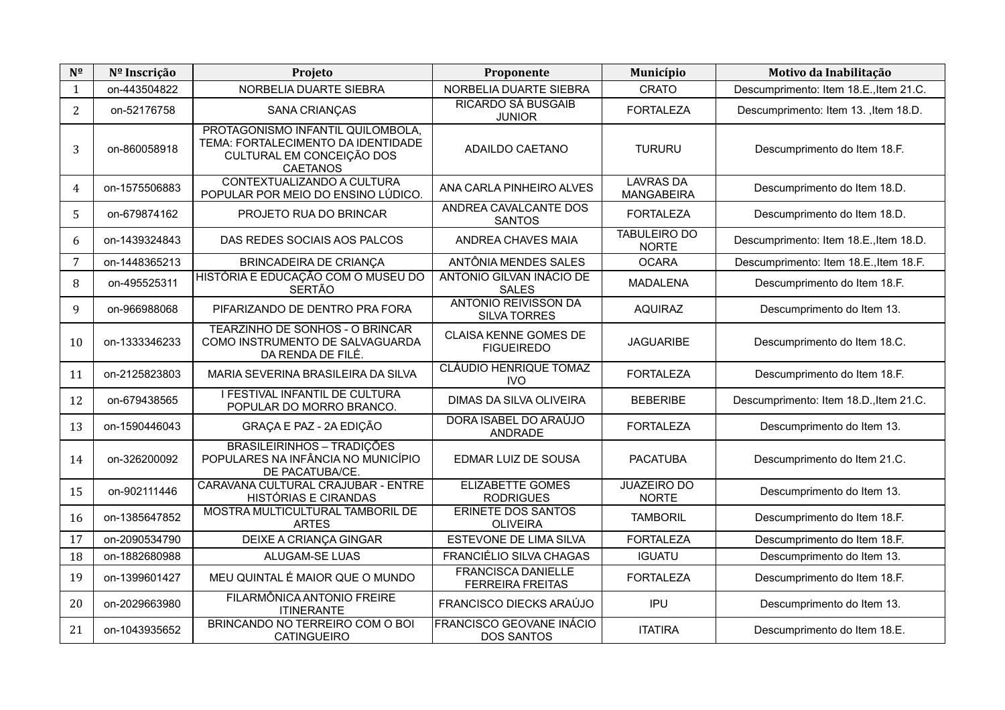| $N^{\Omega}$   | Nº Inscrição  | Projeto                                                                                                                 | Proponente                                           | Município                             | Motivo da Inabilitação                 |
|----------------|---------------|-------------------------------------------------------------------------------------------------------------------------|------------------------------------------------------|---------------------------------------|----------------------------------------|
| 1              | on-443504822  | NORBELIA DUARTE SIEBRA                                                                                                  | NORBELIA DUARTE SIEBRA                               | <b>CRATO</b>                          | Descumprimento: Item 18.E., Item 21.C. |
| $\overline{2}$ | on-52176758   | SANA CRIANÇAS                                                                                                           | <b>RICARDO SÁ BUSGAIB</b><br><b>JUNIOR</b>           | <b>FORTALEZA</b>                      | Descumprimento: Item 13. , Item 18.D.  |
| 3              | on-860058918  | PROTAGONISMO INFANTIL QUILOMBOLA,<br>TEMA: FORTALECIMENTO DA IDENTIDADE<br>CULTURAL EM CONCEIÇÃO DOS<br><b>CAETANOS</b> | ADAILDO CAETANO                                      | <b>TURURU</b>                         | Descumprimento do Item 18.F.           |
| 4              | on-1575506883 | CONTEXTUALIZANDO A CULTURA<br>POPULAR POR MEIO DO ENSINO LÚDICO.                                                        | ANA CARLA PINHEIRO ALVES                             | <b>LAVRAS DA</b><br><b>MANGABEIRA</b> | Descumprimento do Item 18.D.           |
| 5              | on-679874162  | PROJETO RUA DO BRINCAR                                                                                                  | ANDREA CAVALCANTE DOS<br><b>SANTOS</b>               | <b>FORTALEZA</b>                      | Descumprimento do Item 18.D.           |
| 6              | on-1439324843 | DAS REDES SOCIAIS AOS PALCOS                                                                                            | ANDREA CHAVES MAIA                                   | <b>TABULEIRO DO</b><br><b>NORTE</b>   | Descumprimento: Item 18.E., Item 18.D. |
| 7              | on-1448365213 | BRINCADEIRA DE CRIANÇA                                                                                                  | ANTÔNIA MENDES SALES                                 | <b>OCARA</b>                          | Descumprimento: Item 18.E., Item 18.F. |
| 8              | on-495525311  | HISTÓRIA E EDUCAÇÃO COM O MUSEU DO<br><b>SERTÃO</b>                                                                     | ANTONIO GILVAN INÁCIO DE<br><b>SALES</b>             | <b>MADALENA</b>                       | Descumprimento do Item 18.F.           |
| 9              | on-966988068  | PIFARIZANDO DE DENTRO PRA FORA                                                                                          | <b>ANTONIO REIVISSON DA</b><br><b>SILVA TORRES</b>   | <b>AQUIRAZ</b>                        | Descumprimento do Item 13.             |
| 10             | on-1333346233 | TEARZINHO DE SONHOS - O BRINCAR<br>COMO INSTRUMENTO DE SALVAGUARDA<br>DA RENDA DE FILÉ.                                 | <b>CLAISA KENNE GOMES DE</b><br><b>FIGUEIREDO</b>    | <b>JAGUARIBE</b>                      | Descumprimento do Item 18.C.           |
| 11             | on-2125823803 | MARIA SEVERINA BRASILEIRA DA SILVA                                                                                      | CLÁUDIO HENRIQUE TOMAZ<br><b>IVO</b>                 | <b>FORTALEZA</b>                      | Descumprimento do Item 18.F.           |
| 12             | on-679438565  | I FESTIVAL INFANTIL DE CULTURA<br>POPULAR DO MORRO BRANCO.                                                              | <b>DIMAS DA SILVA OLIVEIRA</b>                       | <b>BEBERIBE</b>                       | Descumprimento: Item 18.D., Item 21.C. |
| 13             | on-1590446043 | GRAÇA E PAZ - 2A EDIÇÃO                                                                                                 | DORA ISABEL DO ARAÚJO<br>ANDRADE                     | <b>FORTALEZA</b>                      | Descumprimento do Item 13.             |
| 14             | on-326200092  | <b>BRASILEIRINHOS - TRADIÇÕES</b><br>POPULARES NA INFÂNCIA NO MUNICÍPIO<br>DE PACATUBA/CE.                              | EDMAR LUIZ DE SOUSA                                  | <b>PACATUBA</b>                       | Descumprimento do Item 21.C.           |
| 15             | on-902111446  | CARAVANA CULTURAL CRAJUBAR - ENTRE<br><b>HISTÓRIAS E CIRANDAS</b>                                                       | <b>ELIZABETTE GOMES</b><br><b>RODRIGUES</b>          | <b>JUAZEIRO DO</b><br><b>NORTE</b>    | Descumprimento do Item 13.             |
| 16             | on-1385647852 | MOSTRA MULTICULTURAL TAMBORIL DE<br><b>ARTES</b>                                                                        | <b>ERINETE DOS SANTOS</b><br><b>OLIVEIRA</b>         | <b>TAMBORIL</b>                       | Descumprimento do Item 18.F.           |
| 17             | on-2090534790 | DEIXE A CRIANÇA GINGAR                                                                                                  | ESTEVONE DE LIMA SILVA                               | <b>FORTALEZA</b>                      | Descumprimento do Item 18.F.           |
| 18             | on-1882680988 | ALUGAM-SE LUAS                                                                                                          | FRANCIÉLIO SILVA CHAGAS                              | <b>IGUATU</b>                         | Descumprimento do Item 13.             |
| 19             | on-1399601427 | MEU QUINTAL É MAIOR QUE O MUNDO                                                                                         | <b>FRANCISCA DANIELLE</b><br><b>FERREIRA FREITAS</b> | <b>FORTALEZA</b>                      | Descumprimento do Item 18.F.           |
| 20             | on-2029663980 | FILARMÔNICA ANTONIO FREIRE<br><b>ITINERANTE</b>                                                                         | FRANCISCO DIECKS ARAÚJO                              | <b>IPU</b>                            | Descumprimento do Item 13.             |
| 21             | on-1043935652 | BRINCANDO NO TERREIRO COM O BOI<br><b>CATINGUEIRO</b>                                                                   | <b>FRANCISCO GEOVANE INÁCIO</b><br><b>DOS SANTOS</b> | <b>ITATIRA</b>                        | Descumprimento do Item 18.E.           |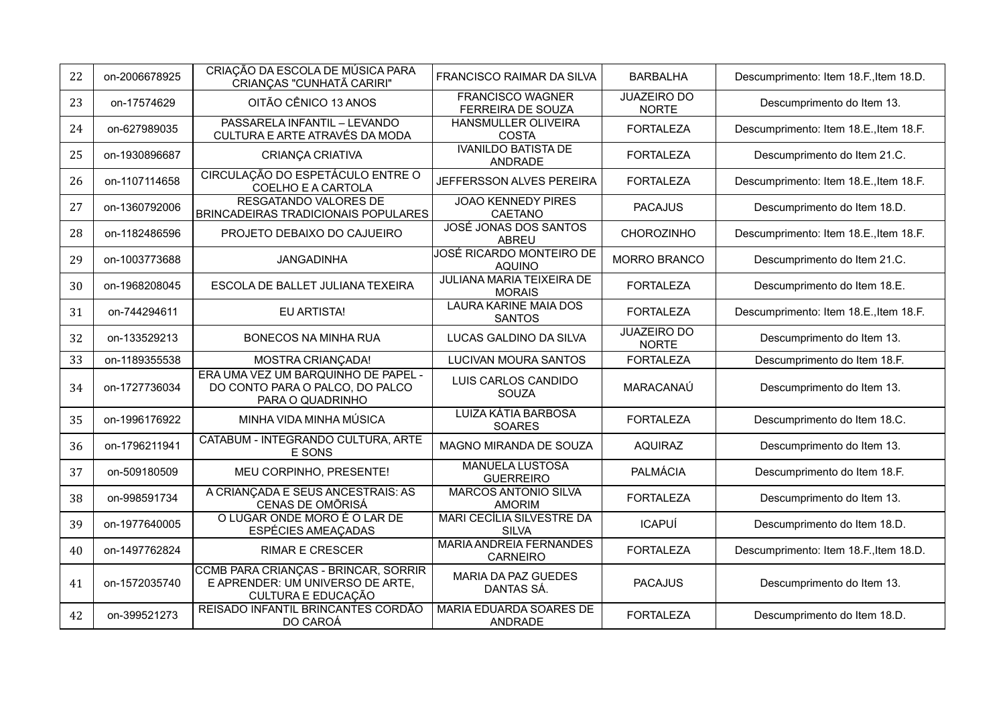| 22 | on-2006678925 | CRIAÇÃO DA ESCOLA DE MÚSICA PARA<br>CRIANCAS "CUNHATÃ CARIRI"                                         | FRANCISCO RAIMAR DA SILVA                           | <b>BARBALHA</b>                    | Descumprimento: Item 18.F., Item 18.D. |
|----|---------------|-------------------------------------------------------------------------------------------------------|-----------------------------------------------------|------------------------------------|----------------------------------------|
| 23 | on-17574629   | OITÃO CÊNICO 13 ANOS                                                                                  | <b>FRANCISCO WAGNER</b><br><b>FERREIRA DE SOUZA</b> | <b>JUAZEIRO DO</b><br><b>NORTE</b> | Descumprimento do Item 13.             |
| 24 | on-627989035  | PASSARELA INFANTIL - LEVANDO<br>CULTURA E ARTE ATRAVÉS DA MODA                                        | <b>HANSMULLER OLIVEIRA</b><br><b>COSTA</b>          | <b>FORTALEZA</b>                   | Descumprimento: Item 18.E., Item 18.F. |
| 25 | on-1930896687 | <b>CRIANÇA CRIATIVA</b>                                                                               | <b>IVANILDO BATISTA DE</b><br>ANDRADE               | <b>FORTALEZA</b>                   | Descumprimento do Item 21.C.           |
| 26 | on-1107114658 | CIRCULAÇÃO DO ESPETÁCULO ENTRE O<br>COELHO E A CARTOLA                                                | JEFFERSSON ALVES PEREIRA                            | <b>FORTALEZA</b>                   | Descumprimento: Item 18.E., Item 18.F. |
| 27 | on-1360792006 | <b>RESGATANDO VALORES DE</b><br>BRINCADEIRAS TRADICIONAIS POPULARES                                   | <b>JOAO KENNEDY PIRES</b><br>CAETANO                | <b>PACAJUS</b>                     | Descumprimento do Item 18.D.           |
| 28 | on-1182486596 | PROJETO DEBAIXO DO CAJUEIRO                                                                           | JOSÉ JONAS DOS SANTOS<br><b>ABREU</b>               | CHOROZINHO                         | Descumprimento: Item 18.E., Item 18.F. |
| 29 | on-1003773688 | JANGADINHA                                                                                            | JOSÉ RICARDO MONTEIRO DE<br><b>AQUINO</b>           | <b>MORRO BRANCO</b>                | Descumprimento do Item 21.C.           |
| 30 | on-1968208045 | ESCOLA DE BALLET JULIANA TEXEIRA                                                                      | <b>JULIANA MARIA TEIXEIRA DE</b><br><b>MORAIS</b>   | <b>FORTALEZA</b>                   | Descumprimento do Item 18.E.           |
| 31 | on-744294611  | <b>EU ARTISTA!</b>                                                                                    | <b>LAURA KARINE MAIA DOS</b><br><b>SANTOS</b>       | <b>FORTALEZA</b>                   | Descumprimento: Item 18.E., Item 18.F. |
| 32 | on-133529213  | BONECOS NA MINHA RUA                                                                                  | LUCAS GALDINO DA SILVA                              | <b>JUAZEIRO DO</b><br><b>NORTE</b> | Descumprimento do Item 13.             |
| 33 | on-1189355538 | MOSTRA CRIANÇADA!                                                                                     | <b>LUCIVAN MOURA SANTOS</b>                         | <b>FORTALEZA</b>                   | Descumprimento do Item 18.F.           |
| 34 | on-1727736034 | ERA UMA VEZ UM BARQUINHO DE PAPEL -<br>DO CONTO PARA O PALCO, DO PALCO<br>PARA O QUADRINHO            | LUIS CARLOS CANDIDO<br>SOUZA                        | MARACANAÚ                          | Descumprimento do Item 13.             |
| 35 | on-1996176922 | MINHA VIDA MINHA MÚSICA                                                                               | <b>LUIZA KÁTIA BARBOSA</b><br><b>SOARES</b>         | <b>FORTALEZA</b>                   | Descumprimento do Item 18.C.           |
| 36 | on-1796211941 | CATABUM - INTEGRANDO CULTURA, ARTE<br>E SONS                                                          | MAGNO MIRANDA DE SOUZA                              | <b>AQUIRAZ</b>                     | Descumprimento do Item 13.             |
| 37 | on-509180509  | MEU CORPINHO, PRESENTE!                                                                               | <b>MANUELA LUSTOSA</b><br><b>GUERREIRO</b>          | PALMÁCIA                           | Descumprimento do Item 18.F.           |
| 38 | on-998591734  | A CRIANÇADA E SEUS ANCESTRAIS: AS<br>CENAS DE OMÕRISÁ                                                 | <b>MARCOS ANTONIO SILVA</b><br><b>AMORIM</b>        | <b>FORTALEZA</b>                   | Descumprimento do Item 13.             |
| 39 | on-1977640005 | O LUGAR ONDE MORO É O LAR DE<br>ESPÉCIES AMEAÇADAS                                                    | MARI CECÍLIA SILVESTRE DA<br><b>SILVA</b>           | <b>ICAPUÍ</b>                      | Descumprimento do Item 18.D.           |
| 40 | on-1497762824 | <b>RIMAR E CRESCER</b>                                                                                | <b>MARIA ANDREIA FERNANDES</b><br><b>CARNEIRO</b>   | <b>FORTALEZA</b>                   | Descumprimento: Item 18.F., Item 18.D. |
| 41 | on-1572035740 | CCMB PARA CRIANÇAS - BRINCAR, SORRIR<br>E APRENDER: UM UNIVERSO DE ARTE,<br><b>CULTURA E EDUCAÇÃO</b> | MARIA DA PAZ GUEDES<br>DANTAS SÁ.                   | <b>PACAJUS</b>                     | Descumprimento do Item 13.             |
| 42 | on-399521273  | REISADO INFANTIL BRINCANTES CORDÃO<br>DO CAROÁ                                                        | <b>MARIA EDUARDA SOARES DE</b><br>ANDRADE           | <b>FORTALEZA</b>                   | Descumprimento do Item 18.D.           |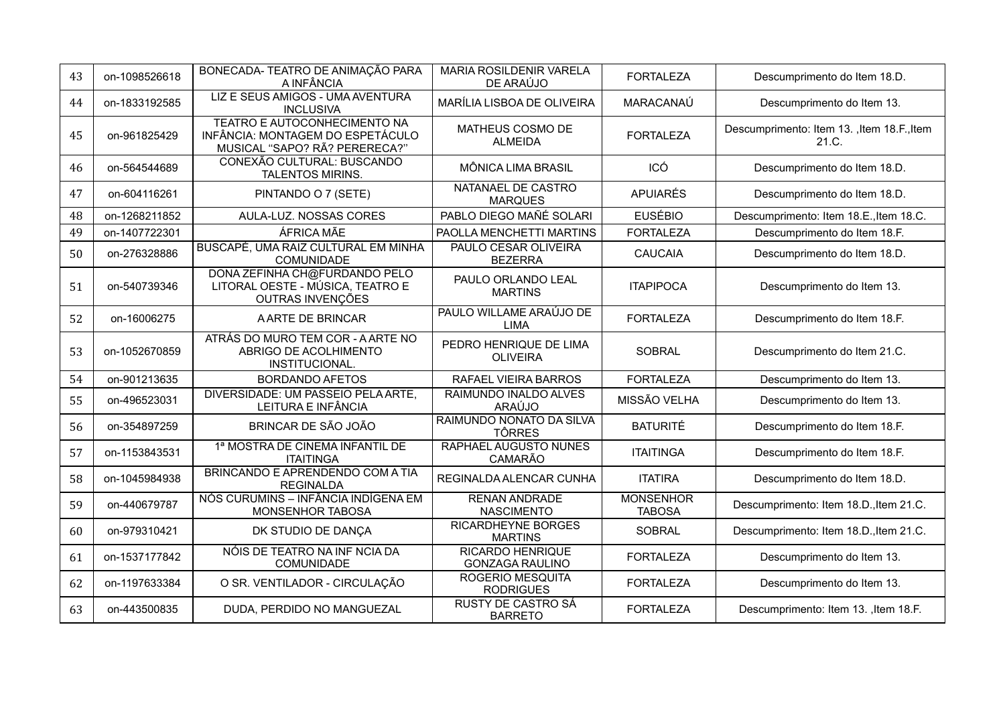| 43 | on-1098526618 | BONECADA- TEATRO DE ANIMAÇÃO PARA<br>A INFÂNCIA                                                          | MARIA ROSILDENIR VARELA<br>DE ARAÚJO              | <b>FORTALEZA</b>                  | Descumprimento do Item 18.D.                         |
|----|---------------|----------------------------------------------------------------------------------------------------------|---------------------------------------------------|-----------------------------------|------------------------------------------------------|
| 44 | on-1833192585 | LIZ E SEUS AMIGOS - UMA AVENTURA<br><b>INCLUSIVA</b>                                                     | MARÍLIA LISBOA DE OLIVEIRA                        | MARACANAÚ                         | Descumprimento do Item 13.                           |
| 45 | on-961825429  | <b>TEATRO E AUTOCONHECIMENTO NA</b><br>INFÂNCIA: MONTAGEM DO ESPETÁCULO<br>MUSICAL "SAPO? RÃ? PERERECA?" | MATHEUS COSMO DE<br><b>ALMEIDA</b>                | <b>FORTALEZA</b>                  | Descumprimento: Item 13. , Item 18.F., Item<br>21.C. |
| 46 | on-564544689  | CONEXÃO CULTURAL: BUSCANDO<br><b>TALENTOS MIRINS.</b>                                                    | MÔNICA LIMA BRASIL                                | ICÓ                               | Descumprimento do Item 18.D.                         |
| 47 | on-604116261  | PINTANDO O 7 (SETE)                                                                                      | NATANAEL DE CASTRO<br><b>MARQUES</b>              | <b>APUIARÉS</b>                   | Descumprimento do Item 18.D.                         |
| 48 | on-1268211852 | AULA-LUZ. NOSSAS CORES                                                                                   | PABLO DIEGO MAÑÉ SOLARI                           | <b>EUSÉBIO</b>                    | Descumprimento: Item 18.E., Item 18.C.               |
| 49 | on-1407722301 | ÁFRICA MÃE                                                                                               | PAOLLA MENCHETTI MARTINS                          | <b>FORTALEZA</b>                  | Descumprimento do Item 18.F.                         |
| 50 | on-276328886  | BUSCAPÉ, UMA RAIZ CULTURAL EM MINHA<br>COMUNIDADE                                                        | PAULO CESAR OLIVEIRA<br><b>BEZERRA</b>            | <b>CAUCAIA</b>                    | Descumprimento do Item 18.D.                         |
| 51 | on-540739346  | DONA ZEFINHA CH@FURDANDO PELO<br>LITORAL OESTE - MÚSICA, TEATRO E<br>OUTRAS INVENÇÕES                    | PAULO ORLANDO LEAL<br><b>MARTINS</b>              | <b>ITAPIPOCA</b>                  | Descumprimento do Item 13.                           |
| 52 | on-16006275   | A ARTE DE BRINCAR                                                                                        | PAULO WILLAME ARAÚJO DE<br><b>LIMA</b>            | <b>FORTALEZA</b>                  | Descumprimento do Item 18.F.                         |
| 53 | on-1052670859 | ATRÁS DO MURO TEM COR - A ARTE NO<br>ABRIGO DE ACOLHIMENTO<br>INSTITUCIONAL.                             | PEDRO HENRIQUE DE LIMA<br><b>OLIVEIRA</b>         | <b>SOBRAL</b>                     | Descumprimento do Item 21.C.                         |
| 54 | on-901213635  | <b>BORDANDO AFETOS</b>                                                                                   | RAFAEL VIEIRA BARROS                              | <b>FORTALEZA</b>                  | Descumprimento do Item 13.                           |
| 55 | on-496523031  | DIVERSIDADE: UM PASSEIO PELA ARTE,<br>LEITURA E INFÂNCIA                                                 | RAIMUNDO INALDO ALVES<br>ARAÚJO                   | MISSÃO VELHA                      | Descumprimento do Item 13.                           |
| 56 | on-354897259  | BRINCAR DE SÃO JOÃO                                                                                      | RAIMUNDO NONATO DA SILVA<br>TÔRRES                | <b>BATURITÉ</b>                   | Descumprimento do Item 18.F.                         |
| 57 | on-1153843531 | 1ª MOSTRA DE CINEMA INFANTIL DE<br><b>ITAITINGA</b>                                                      | <b>RAPHAEL AUGUSTO NUNES</b><br>CAMARÃO           | <b>ITAITINGA</b>                  | Descumprimento do Item 18.F.                         |
| 58 | on-1045984938 | BRINCANDO E APRENDENDO COM A TIA<br><b>REGINALDA</b>                                                     | REGINALDA ALENCAR CUNHA                           | <b>ITATIRA</b>                    | Descumprimento do Item 18.D.                         |
| 59 | on-440679787  | NÓS CURUMINS - INFÂNCIA INDÍGENA EM<br>MONSENHOR TABOSA                                                  | <b>RENAN ANDRADE</b><br><b>NASCIMENTO</b>         | <b>MONSENHOR</b><br><b>TABOSA</b> | Descumprimento: Item 18.D., Item 21.C.               |
| 60 | on-979310421  | DK STUDIO DE DANÇA                                                                                       | <b>RICARDHEYNE BORGES</b><br><b>MARTINS</b>       | <b>SOBRAL</b>                     | Descumprimento: Item 18.D., Item 21.C.               |
| 61 | on-1537177842 | NÓIS DE TEATRO NA INF NCIA DA<br><b>COMUNIDADE</b>                                                       | <b>RICARDO HENRIQUE</b><br><b>GONZAGA RAULINO</b> | <b>FORTALEZA</b>                  | Descumprimento do Item 13.                           |
| 62 | on-1197633384 | O SR. VENTILADOR - CIRCULAÇÃO                                                                            | <b>ROGERIO MESQUITA</b><br><b>RODRIGUES</b>       | <b>FORTALEZA</b>                  | Descumprimento do Item 13.                           |
| 63 | on-443500835  | DUDA, PERDIDO NO MANGUEZAL                                                                               | <b>RUSTY DE CASTRO SÁ</b><br><b>BARRETO</b>       | <b>FORTALEZA</b>                  | Descumprimento: Item 13. , Item 18.F.                |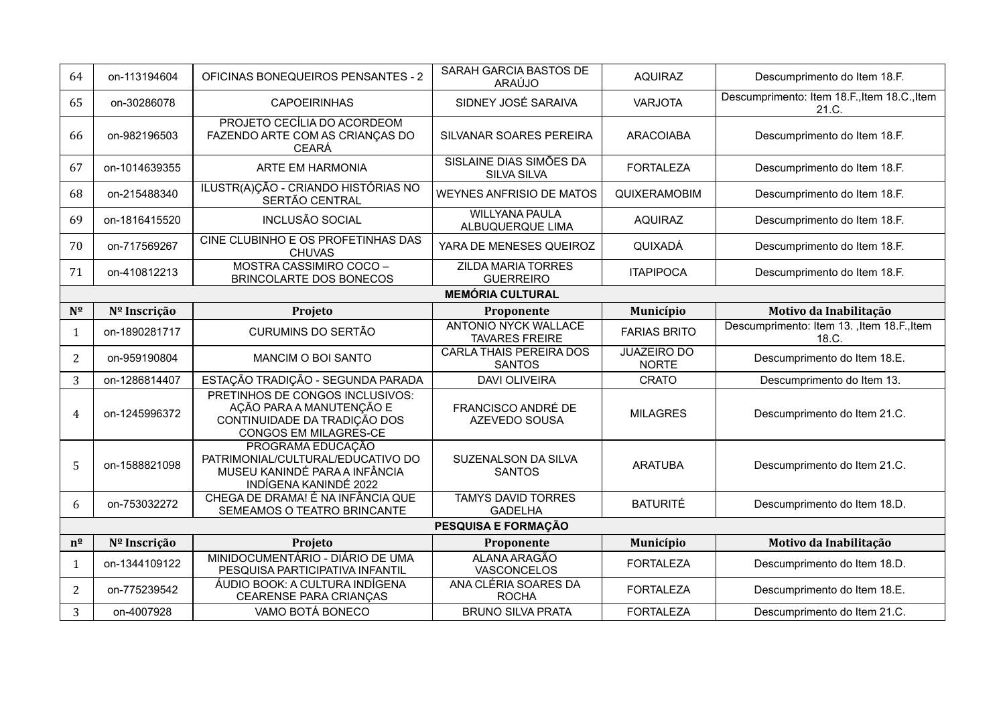| 64           | on-113194604            | OFICINAS BONEQUEIROS PENSANTES - 2                                                                                   | SARAH GARCIA BASTOS DE<br>ARAÚJO                     | <b>AQUIRAZ</b>                     | Descumprimento do Item 18.F.                          |  |  |
|--------------|-------------------------|----------------------------------------------------------------------------------------------------------------------|------------------------------------------------------|------------------------------------|-------------------------------------------------------|--|--|
| 65           | on-30286078             | <b>CAPOEIRINHAS</b>                                                                                                  | SIDNEY JOSÉ SARAIVA                                  | <b>VARJOTA</b>                     | Descumprimento: Item 18.F., Item 18.C., Item<br>21.C. |  |  |
| 66           | on-982196503            | PROJETO CECÍLIA DO ACORDEOM<br>FAZENDO ARTE COM AS CRIANÇAS DO<br><b>CEARÁ</b>                                       | SILVANAR SOARES PEREIRA                              | <b>ARACOIABA</b>                   | Descumprimento do Item 18.F.                          |  |  |
| 67           | on-1014639355           | ARTE EM HARMONIA                                                                                                     | SISLAINE DIAS SIMÕES DA<br><b>SILVA SILVA</b>        | <b>FORTALEZA</b>                   | Descumprimento do Item 18.F.                          |  |  |
| 68           | on-215488340            | ILUSTR(A)ÇÃO - CRIANDO HISTÓRIAS NO<br>SERTÃO CENTRAL                                                                | <b>WEYNES ANFRISIO DE MATOS</b>                      | QUIXERAMOBIM                       | Descumprimento do Item 18.F.                          |  |  |
| 69           | on-1816415520           | <b>INCLUSÃO SOCIAL</b>                                                                                               | <b>WILLYANA PAULA</b><br>ALBUQUERQUE LIMA            | <b>AQUIRAZ</b>                     | Descumprimento do Item 18.F.                          |  |  |
| 70           | on-717569267            | CINE CLUBINHO E OS PROFETINHAS DAS<br><b>CHUVAS</b>                                                                  | YARA DE MENESES QUEIROZ                              | QUIXADÁ                            | Descumprimento do Item 18.F.                          |  |  |
| 71           | on-410812213            | MOSTRA CASSIMIRO COCO -<br>BRINCOLARTE DOS BONECOS                                                                   | <b>ZILDA MARIA TORRES</b><br><b>GUERREIRO</b>        | <b>ITAPIPOCA</b>                   | Descumprimento do Item 18.F.                          |  |  |
|              | <b>MEMÓRIA CULTURAL</b> |                                                                                                                      |                                                      |                                    |                                                       |  |  |
| $N^{\Omega}$ | Nº Inscrição            | Projeto                                                                                                              | Proponente                                           | Município                          | Motivo da Inabilitação                                |  |  |
| $\mathbf{1}$ | on-1890281717           | <b>CURUMINS DO SERTÃO</b>                                                                                            | <b>ANTONIO NYCK WALLACE</b><br><b>TAVARES FREIRE</b> | <b>FARIAS BRITO</b>                | Descumprimento: Item 13. , Item 18.F., Item<br>18.C.  |  |  |
| 2            | on-959190804            | <b>MANCIM O BOI SANTO</b>                                                                                            | <b>CARLA THAIS PEREIRA DOS</b><br><b>SANTOS</b>      | <b>JUAZEIRO DO</b><br><b>NORTE</b> | Descumprimento do Item 18.E.                          |  |  |
| 3            | on-1286814407           | ESTAÇÃO TRADIÇÃO - SEGUNDA PARADA                                                                                    | <b>DAVI OLIVEIRA</b>                                 | <b>CRATO</b>                       | Descumprimento do Item 13.                            |  |  |
| 4            | on-1245996372           | PRETINHOS DE CONGOS INCLUSIVOS:<br>AÇÃO PARA A MANUTENÇÃO E<br>CONTINUIDADE DA TRADIÇÃO DOS<br>CONGOS EM MILAGRES-CE | FRANCISCO ANDRÉ DE<br>AZEVEDO SOUSA                  | <b>MILAGRES</b>                    | Descumprimento do Item 21.C.                          |  |  |
| 5            | on-1588821098           | PROGRAMA EDUCAÇÃO<br>PATRIMONIAL/CULTURAL/EDUCATIVO DO<br>MUSEU KANINDÉ PARA A INFÂNCIA<br>INDÍGENA KANINDÉ 2022     | <b>SUZENALSON DA SILVA</b><br><b>SANTOS</b>          | <b>ARATUBA</b>                     | Descumprimento do Item 21.C.                          |  |  |
| 6            | on-753032272            | CHEGA DE DRAMA! É NA INFÂNCIA QUE<br>SEMEAMOS O TEATRO BRINCANTE                                                     | <b>TAMYS DAVID TORRES</b><br><b>GADELHA</b>          | <b>BATURITÉ</b>                    | Descumprimento do Item 18.D.                          |  |  |
|              |                         |                                                                                                                      | PESQUISA E FORMAÇÃO                                  |                                    |                                                       |  |  |
| $n^{\Omega}$ | Nº Inscrição            | Projeto                                                                                                              | Proponente                                           | Município                          | Motivo da Inabilitação                                |  |  |
| $\mathbf{1}$ | on-1344109122           | MINIDOCUMENTÁRIO - DIÁRIO DE UMA<br>PESQUISA PARTICIPATIVA INFANTIL                                                  | <b>ALANA ARAGÃO</b><br>VASCONCELOS                   | <b>FORTALEZA</b>                   | Descumprimento do Item 18.D.                          |  |  |
| 2            | on-775239542            | ÁUDIO BOOK: A CULTURA INDÍGENA                                                                                       | ANA CLÉRIA SOARES DA                                 | <b>FORTALEZA</b>                   | Descumprimento do Item 18.E.                          |  |  |
|              |                         | CEARENSE PARA CRIANÇAS                                                                                               | <b>ROCHA</b>                                         |                                    |                                                       |  |  |